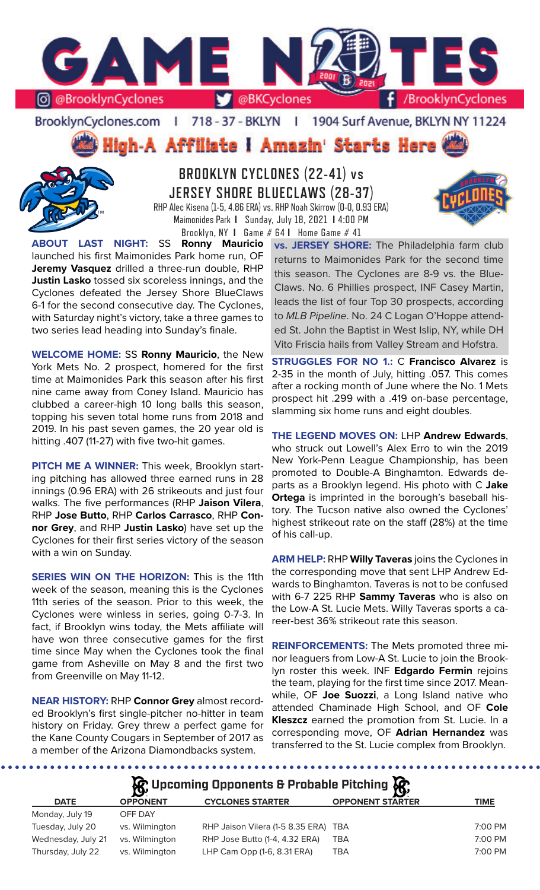

BrooklynCyclones.com | 718 - 37 - BKLYN | 1904 Surf Avenue, BKLYN NY 11224

High-A Affiliate I Amazin' Starts Here



**BROOKLYN CYCLONES (22-41) vs JERSEY SHORE BLUECLAWS (28-37)** RHP Alec Kisena (1-5, 4.86 ERA) vs. RHP Noah Skirrow (0-0, 0.93 ERA) Maimonides Park **I** Sunday, July 18, 2021 **I** 4:00 PM



**ABOUT LAST NIGHT: SS** launched his first Maimonides Park home run, OF **Jeremy Vasquez** drilled a three-run double, RHP **Justin Lasko** tossed six scoreless innings, and the Cyclones defeated the Jersey Shore BlueClaws 6-1 for the second consecutive day. The Cyclones, with Saturday night's victory, take a three games to two series lead heading into Sunday's finale.

**WELCOME HOME:** SS **Ronny Mauricio**, the New York Mets No. 2 prospect, homered for the first time at Maimonides Park this season after his first nine came away from Coney Island. Mauricio has clubbed a career-high 10 long balls this season, topping his seven total home runs from 2018 and 2019. In his past seven games, the 20 year old is hitting .407 (11-27) with five two-hit games.

**PITCH ME A WINNER:** This week, Brooklyn starting pitching has allowed three earned runs in 28 innings (0.96 ERA) with 26 strikeouts and just four walks. The five performances (RHP **Jaison Vilera**, RHP **Jose Butto**, RHP **Carlos Carrasco**, RHP **Connor Grey**, and RHP **Justin Lasko**) have set up the Cyclones for their first series victory of the season with a win on Sunday.

**SERIES WIN ON THE HORIZON: This is the 11th** week of the season, meaning this is the Cyclones 11th series of the season. Prior to this week, the Cyclones were winless in series, going 0-7-3. In fact, if Brooklyn wins today, the Mets affiliate will have won three consecutive games for the first time since May when the Cyclones took the final game from Asheville on May 8 and the first two from Greenville on May 11-12.

**NEAR HISTORY:** RHP **Connor Grey** almost recorded Brooklyn's first single-pitcher no-hitter in team history on Friday. Grey threw a perfect game for the Kane County Cougars in September of 2017 as a member of the Arizona Diamondbacks system.

Brooklyn, NY 1 Game # 64 **I** Home Game # 41<br>**Ronny Mauricio** vs. JERSEY SHOR **vs. JERSEY SHORE:** The Philadelphia farm club returns to Maimonides Park for the second time this season. The Cyclones are 8-9 vs. the Blue-Claws. No. 6 Phillies prospect, INF Casey Martin, leads the list of four Top 30 prospects, according to *MLB Pipeline*. No. 24 C Logan O'Hoppe attended St. John the Baptist in West Islip, NY, while DH Vito Friscia hails from Valley Stream and Hofstra.

> **STRUGGLES FOR NO 1.:** C **Francisco Alvarez** is 2-35 in the month of July, hitting .057. This comes after a rocking month of June where the No. 1 Mets prospect hit .299 with a .419 on-base percentage, slamming six home runs and eight doubles.

> **THE LEGEND MOVES ON:** LHP **Andrew Edwards**, who struck out Lowell's Alex Erro to win the 2019 New York-Penn League Championship, has been promoted to Double-A Binghamton. Edwards departs as a Brooklyn legend. His photo with C **Jake Ortega** is imprinted in the borough's baseball history. The Tucson native also owned the Cyclones' highest strikeout rate on the staff (28%) at the time of his call-up.

> **ARM HELP:** RHP **Willy Taveras** joins the Cyclones in the corresponding move that sent LHP Andrew Edwards to Binghamton. Taveras is not to be confused with 6-7 225 RHP **Sammy Taveras** who is also on the Low-A St. Lucie Mets. Willy Taveras sports a career-best 36% strikeout rate this season.

> **REINFORCEMENTS:** The Mets promoted three minor leaguers from Low-A St. Lucie to join the Brooklyn roster this week. INF **Edgardo Fermin** rejoins the team, playing for the first time since 2017. Meanwhile, OF **Joe Suozzi**, a Long Island native who attended Chaminade High School, and OF **Cole Kleszcz** earned the promotion from St. Lucie. In a corresponding move, OF **Adrian Hernandez** was transferred to the St. Lucie complex from Brooklyn.

.................... **AR** Upcoming Opponents & Probable Pitching  $\mathbb{R}$ 

|                    | $\mathbf{B}$    |                                  | - <b>ISA</b>            |             |
|--------------------|-----------------|----------------------------------|-------------------------|-------------|
| <b>DATE</b>        | <b>OPPONENT</b> | <b>CYCLONES STARTER</b>          | <b>OPPONENT STARTER</b> | <b>TIME</b> |
| Monday, July 19    | OFF DAY         |                                  |                         |             |
| Tuesday, July 20   | vs. Wilmington  | RHP Jaison Vilera (1-5 8.35 ERA) | TBA                     | 7:00 PM     |
| Wednesday, July 21 | vs. Wilmington  | RHP Jose Butto (1-4, 4.32 ERA)   | TBA                     | 7:00 PM     |
| Thursday, July 22  | vs. Wilmington  | LHP Cam Opp (1-6, 8.31 ERA)      | <b>TBA</b>              | 7:00 PM     |
|                    |                 |                                  |                         |             |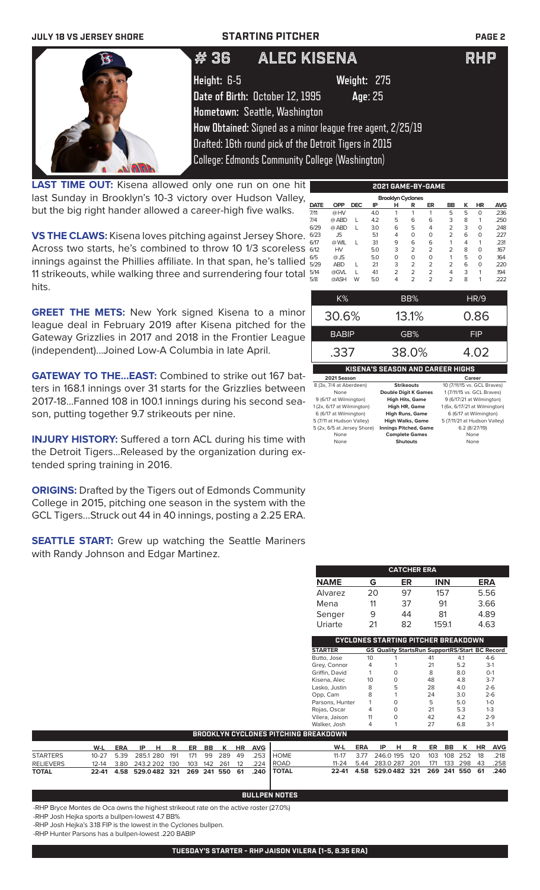| <b>JULY 18 VS JERSEY SHORE</b> |                                 | <b>STARTING PITCHER</b>                                    | <b>PAGE 2</b> |
|--------------------------------|---------------------------------|------------------------------------------------------------|---------------|
|                                | #36                             | <b>ALEC KISENA</b>                                         | <b>RHP</b>    |
|                                | Height: 6-5                     | <b>Weight: 275</b>                                         |               |
|                                | Date of Birth: October 12, 1995 | Age: 25                                                    |               |
|                                | Hometown: Seattle, Washington   |                                                            |               |
|                                |                                 | How Obtained: Signed as a minor league free agent, 2/25/19 |               |
|                                |                                 | Drafted: 16th round pick of the Detroit Tigers in 2015     |               |
|                                |                                 | <b>College: Edmonds Community College (Washington)</b>     |               |

LAST TIME OUT: Kisena allowed only one run on one hit last Sunday in Brooklyn's 10-3 victory over Hudson Valley, but the big right hander allowed a career-high five walks.

**VS THE CLAWS:** Kisena loves pitching against Jersey Shore. Across two starts, he's combined to throw 10 1/3 scoreless innings against the Phillies affiliate. In that span, he's tallied 11 strikeouts, while walking three and surrendering four total hits.

**GREET THE METS:** New York signed Kisena to a minor league deal in February 2019 after Kisena pitched for the Gateway Grizzlies in 2017 and 2018 in the Frontier League (independent)...Joined Low-A Columbia in late April.

**GATEWAY TO THE...EAST:** Combined to strike out 167 batters in 168.1 innings over 31 starts for the Grizzlies between 2017-18...Fanned 108 in 100.1 innings during his second season, putting together 9.7 strikeouts per nine.

**INJURY HISTORY:** Suffered a torn ACL during his time with the Detroit Tigers...Released by the organization during extended spring training in 2016.

**ORIGINS:** Drafted by the Tigers out of Edmonds Community College in 2015, pitching one season in the system with the GCL Tigers...Struck out 44 in 40 innings, posting a 2.25 ERA.

**SEATTLE START:** Grew up watching the Seattle Mariners with Randy Johnson and Edgar Martinez.

|             |            |            |     | <b>Brooklyn Cyclones</b> |                |                |                |   |           |            |
|-------------|------------|------------|-----|--------------------------|----------------|----------------|----------------|---|-----------|------------|
| <b>DATE</b> | <b>OPP</b> | <b>DEC</b> | ΙP  | н                        | R              | ER             | <b>BB</b>      | ĸ | <b>HR</b> | <b>AVG</b> |
| 7/11        | @HV        |            | 4.0 | 1                        | 1              | 1              | 5              | 5 | $\Omega$  | .236       |
| 7/4         | @ ABD      | L          | 4.2 | 5                        | 6              | 6              | 3              | 8 | 1         | .250       |
| 6/29        | @ ABD      | L          | 3.0 | 6                        | 5              | 4              | $\overline{2}$ | 3 | $\Omega$  | .248       |
| 6/23        | <b>JS</b>  |            | 5.1 | 4                        | 0              | 0              | $\overline{2}$ | 6 | $\Omega$  | .227       |
| 6/17        | @ WIL      | L          | 3.1 | 9                        | 6              | 6              | 1              | 4 | 1         | .231       |
| 6/12        | HV         |            | 5.0 | 3                        | 2              | $\overline{2}$ | $\overline{2}$ | 8 | $\Omega$  | .167       |
| 6/5         | $@$ JS     |            | 5.0 | O                        | 0              | 0              | 1              | 5 | $\Omega$  | .164       |
| 5/29        | <b>ABD</b> | L          | 2.1 | 3                        | $\overline{2}$ | $\overline{2}$ | $\overline{2}$ | 6 | $\Omega$  | .220       |
| 5/14        | @GVL       | L          | 4.1 | $\overline{2}$           | $\overline{2}$ | $\overline{2}$ | 4              | 3 | 1         | .194       |
| 5/8         | @ASH       | W          | 5.0 | 4                        | $\overline{2}$ | $\overline{2}$ | $\overline{2}$ | 8 | 1         | .222       |
|             | K%         |            |     |                          | BB%            |                |                |   | HR/9      |            |
|             | 30.6%      |            |     |                          | 13.1%          |                |                |   | 0.86      |            |

**2021 GAME-BY-GAME**

| <b>BABIP</b>                | GB%                                     | FIP                           |
|-----------------------------|-----------------------------------------|-------------------------------|
| .337                        | 38.0%                                   | 4.02                          |
|                             | <b>KISENA'S SEASON AND CAREER HIGHS</b> |                               |
| 2021 Season                 |                                         | Career                        |
| 8 (3x, 7/4 at Aberdeen)     | <b>Strikeouts</b>                       | 10 (7/11/15 vs. GCL Braves)   |
| None                        | <b>Double Digit K Games</b>             | 1 (7/11/15 vs. GCL Braves)    |
| 9 (6/17 at Wilmington)      | <b>High Hits, Game</b>                  | 9 (6/17/21 at Wilmington)     |
| 1 (2x, 6/17 at Wilmington)  | <b>High HR, Game</b>                    | 1 (6x, 6/17/21 at Wilmington) |
| 6 (6/17 at Wilmington)      | <b>High Runs, Game</b>                  | 6 (6/17 at Wilmington)        |
| 5 (7/11 at Hudson Valley)   | <b>High Walks, Game</b>                 | 5 (7/11/21 at Hudson Valley)  |
| 5 (2x, 6/5 at Jersey Shore) | <b>Innings Pitched, Game</b>            | 6.2 (8/27/19)                 |
| None                        | <b>Complete Games</b>                   | None                          |

None **Shutouts** None

**CATCHER ERA NAME G ER INN ERA** Alvarez 20 97 157 5.56 Mena 11 37 91 3.66 Senger 9 44 81 4.89 Uriarte 21 82 159.1 4.63

|                 |    |   | CYCLONES STARTING PITCHER BREAKDOWN                   |     |         |
|-----------------|----|---|-------------------------------------------------------|-----|---------|
| <b>STARTER</b>  |    |   | <b>GS Quality StartsRun SupportRS/Start BC Record</b> |     |         |
| Butto, Jose     | 10 |   | 41                                                    | 4.1 | $4-6$   |
| Grey, Connor    | 4  |   | 21                                                    | 5.2 | $3-1$   |
| Griffin, David  | 1  | 0 | 8                                                     | 8.0 | $O-1$   |
| Kisena, Alec    | 10 | ∩ | 48                                                    | 4.8 | $3 - 7$ |
| Lasko, Justin   | 8  | 5 | 28                                                    | 4.0 | $2 - 6$ |
| Opp, Cam        | 8  |   | 24                                                    | 3.0 | $2 - 6$ |
| Parsons, Hunter | 1  | O | 5                                                     | 5.0 | $1 - 0$ |
| Rojas, Oscar    | 4  | O | 21                                                    | 5.3 | $1 - 3$ |
| Vilera, Jaison  | 11 | O | 42                                                    | 4.2 | $2 - 9$ |
| Walker, Josh    | 4  |   | 27                                                    | 6.8 | $3-1$   |
| REAKDOWN        |    |   |                                                       |     |         |

|                  | BROOKLYN CYCLONES PITCHING BREAKDOWN |  |                                      |  |  |  |  |  |  |  |                                                   |                                              |                                              |  |  |  |  |
|------------------|--------------------------------------|--|--------------------------------------|--|--|--|--|--|--|--|---------------------------------------------------|----------------------------------------------|----------------------------------------------|--|--|--|--|
|                  |                                      |  | <u>W-L ERA IP H R ER BB K HR AVG</u> |  |  |  |  |  |  |  |                                                   |                                              | W-L ERA IP H R ER BB K HR AVG                |  |  |  |  |
| <b>STARTERS</b>  |                                      |  |                                      |  |  |  |  |  |  |  | 10-27 5.39 285.1 280 191 171 99 289 49 .253 HOME  |                                              | 11-17 3.77 246.0 195 120 103 108 252 18 .218 |  |  |  |  |
| <b>RELIEVERS</b> |                                      |  |                                      |  |  |  |  |  |  |  | 12-14 3.80 243.2 202 130 103 142 261 12 .224 ROAD | 11-24 5.44 283.0 287 201 171 133 298 43 .258 |                                              |  |  |  |  |
| <b>TOTAL</b>     |                                      |  |                                      |  |  |  |  |  |  |  | 22-41 4.58 529.0482 321 269 241 550 61 .240 TOTAL | 22-41 4.58 529.0482 321 269 241 550 61 .240  |                                              |  |  |  |  |

### **BULLPEN NOTES**

-RHP Bryce Montes de Oca owns the highest strikeout rate on the active roster (27.0%)

-RHP Josh Hejka sports a bullpen-lowest 4.7 BB%

-RHP Josh Hejka's 3.18 FIP is the lowest in the Cyclones bullpen.

-RHP Hunter Parsons has a bullpen-lowest .220 BABIP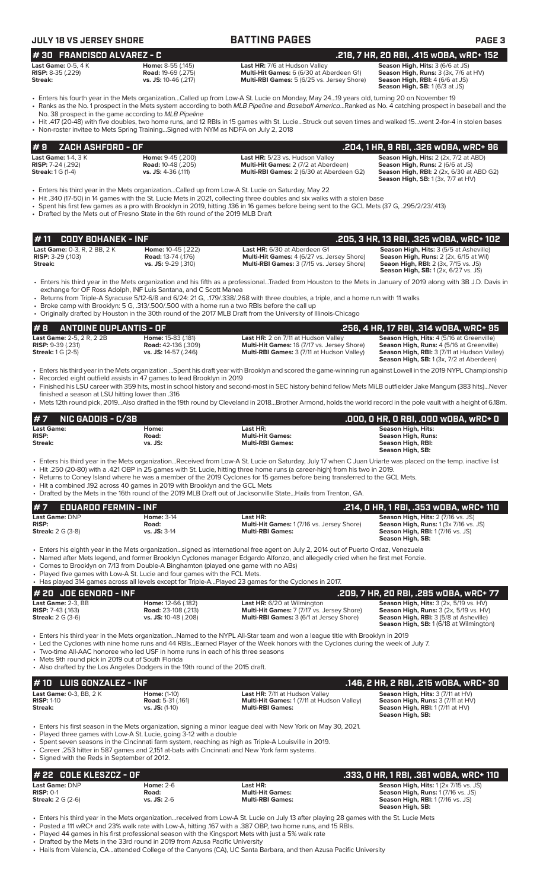| <b>JULY 18 VS JERSEY SHORE</b>                                                       |                                                                                                                                              | <b>BATTING PAGES</b>                                                                                                                                                                                                                                                                                                                                                                                                                                               | PAGE <sub>3</sub>                                                                                                                                                  |
|--------------------------------------------------------------------------------------|----------------------------------------------------------------------------------------------------------------------------------------------|--------------------------------------------------------------------------------------------------------------------------------------------------------------------------------------------------------------------------------------------------------------------------------------------------------------------------------------------------------------------------------------------------------------------------------------------------------------------|--------------------------------------------------------------------------------------------------------------------------------------------------------------------|
| #30 FRANCISCO ALVAREZ - C                                                            |                                                                                                                                              |                                                                                                                                                                                                                                                                                                                                                                                                                                                                    | .218, 7 HR, 20 RBI, .415 w0BA, wRC+ 152                                                                                                                            |
| <b>Last Game: 0-5, 4 K</b><br><b>RISP:</b> $8-35$ $(.229)$<br>Streak:                | Home: 8-55 (.145)<br><b>Road: 19-69 (.275)</b><br>vs. JS: 10-46 (.217)                                                                       | Last HR: 7/6 at Hudson Valley<br><b>Multi-Hit Games:</b> 6 (6/30 at Aberdeen G1)<br>Multi-RBI Games: 5 (6/25 vs. Jersey Shore)                                                                                                                                                                                                                                                                                                                                     | Season High, Hits: 3 (6/6 at JS)<br>Season High, Runs: 3 (3x, 7/6 at HV)<br>Season High, RBI: 4 (6/6 at JS)<br>Season High, SB: 1 (6/3 at JS)                      |
|                                                                                      | No. 38 prospect in the game according to MLB Pipeline<br>• Non-roster invitee to Mets Spring TrainingSigned with NYM as NDFA on July 2, 2018 | Fiters his fourth year in the Mets organizationCalled up from Low-A St. Lucie on Monday, May 2419 years old, turning 20 on November 19<br>• Ranks as the No. 1 prospect in the Mets system according to both MLB Pipeline and Baseball AmericaRanked as No. 4 catching prospect in baseball and the<br>• Hit .417 (20-48) with five doubles, two home runs, and 12 RBIs in 15 games with St. LucieStruck out seven times and walked 15went 2-for-4 in stolen bases |                                                                                                                                                                    |
| ZACH ASHFORD - OF<br>#9                                                              |                                                                                                                                              |                                                                                                                                                                                                                                                                                                                                                                                                                                                                    | <u>.204, 1 HR, 9 RBI, .326 wOBA, wRC+ 96</u>                                                                                                                       |
| <b>Last Game: 1-4, 3 K</b><br><b>RISP:</b> $7-24$ (.292)<br><b>Streak:</b> 1 G (1-4) | Home: 9-45 (.200)<br><b>Road: 10-48 (.205)</b><br>vs. JS: $4-36$ (.111)                                                                      | Last HR: 5/23 vs. Hudson Valley<br>Multi-Hit Games: 2 (7/2 at Aberdeen)<br>Multi-RBI Games: 2 (6/30 at Aberdeen G2)                                                                                                                                                                                                                                                                                                                                                | Season High, Hits: 2 (2x, 7/2 at ABD)<br>Season High, Runs: 2 (6/6 at JS)<br>Season High, RBI: 2 (2x, 6/30 at ABD G2)<br><b>Season High, SB:</b> 1 (3x, 7/7 at HV) |
|                                                                                      |                                                                                                                                              | Enters his third year in the Mets organizationCalled up from Low-A St. Lucie on Saturday, May 22<br>• Hit .340 (17-50) in 14 games with the St. Lucie Mets in 2021, collecting three doubles and six walks with a stolen base<br>• Spent his first few games as a pro with Brooklyn in 2019, hitting .136 in 16 games before being sent to the GCL Mets (37 G, .295/2/23/.413)                                                                                     |                                                                                                                                                                    |

• Drafted by the Mets out of Fresno State in the 6th round of the 2019 MLB Draft

| $\blacktriangleright$ 11 $\;$ CODY BOHANEK - INF . |                            |                                                   | .205, 3 HR, 13 RBI, .325 wOBA, wRC+ 102        |
|----------------------------------------------------|----------------------------|---------------------------------------------------|------------------------------------------------|
| <b>Last Game: 0-3. R. 2 BB. 2 K</b>                | <b>Home:</b> 10-45 (.222)  | <b>Last HR:</b> 6/30 at Aberdeen G1               | <b>Season High, Hits: 3 (5/5 at Asheville)</b> |
| <b>RISP:</b> $3-29$ (.103)                         | <b>Road:</b> 13-74 (.176)  | <b>Multi-Hit Games:</b> 4 (6/27 vs. Jersey Shore) | <b>Season High, Runs:</b> 2 (2x, 6/15 at Wil)  |
| Streak:                                            | <b>vs. JS:</b> 9-29 (.310) | <b>Multi-RBI Games: 3 (7/15 vs. Jersey Shore)</b> | <b>Seaon High, RBI:</b> 2 (3x, 7/15 vs. JS)    |
|                                                    |                            |                                                   | <b>Season High, SB:</b> 1 (2x, 6/27 vs. JS)    |

• Enters his third year in the Mets organization and his fifth as a professional...Traded from Houston to the Mets in January of 2019 along with 3B J.D. Davis in exchange for OF Ross Adolph, INF Luis Santana, and C Scott Manea

• Returns from Triple-A Syracuse 5/12-6/8 and 6/24: 21 G, ..179/.338/.268 with three doubles, a triple, and a home run with 11 walks

• Broke camp with Brooklyn: 5 G, .313/.500/.500 with a home run a two RBIs before the call up

• Originally drafted by Houston in the 30th round of the 2017 MLB Draft from the University of Illinois-Chicago

### **# 8** ANTOINE DUPLANTIS - OF<br>
Last Game: 2-5, 2 R, 2 2B<br>
RISP: 9-39 (.231) RISP: 9-39 (.231) Road: 42-136 (.309) Multi-Hit Games: 16 (7/17 vs. Jersey Shore) Season High, Rits: 4 (5/16 at Greenville) **Last Game:** 2-5, 2 R, 2 2B **Home:** 15-83 (.181) **Last HR:** 2 on 7/11 at Hudson Valley **Season High, Hits:** 4 (5/16 at Greenville) **RISP:** 9-39 (.231) **Road:** 42-136 (.309) **Multi-Hit Games:** 16 (7/17 vs. Jersey Shore) **Season High, Runs:** 4 (5/16 at Greenville) **Streak:** 1 G (2-5) **vs. JS:** 14-57 (.246) **Multi-RBI Games:** 3 (7/11 at Hudson Valley) **Season High, RBI:** 3 (7/11 at Hudson Valley) Season High, SB: 1 (3x, 7/2 at Aberdeen)

• Enters his third year in the Mets organization ...Spent his draft year with Brooklyn and scored the game-winning run against Lowell in the 2019 NYPL Championship • Recorded eight outfield assists in 47 games to lead Brooklyn in 2019 • Finished his LSU career with 359 hits, most in school history and second-most in SEC history behind fellow Mets MiLB outfielder Jake Mangum (383 hits)...Never

finished a season at LSU hitting lower than .316 • Mets 12th round pick, 2019...Also drafted in the 19th round by Cleveland in 2018...Brother Armond, holds the world record in the pole vault with a height of 6.18m.

| $#7$ NIC GADDIS - C/3B |         |                         | .000, 0 HR, 0 RBI, .000 WOBA, WRC+ 0 |
|------------------------|---------|-------------------------|--------------------------------------|
| <b>Last Game:</b>      | Home:   | Last HR:                | Season High, Hits:                   |
| <b>RISP:</b>           | Road:   | <b>Multi-Hit Games:</b> | Season High, Runs:                   |
| Streak:                | vs. JS: | <b>Multi-RBI Games:</b> | Season High, RBI:                    |
|                        |         |                         | Season High, SB:                     |

• Enters his third year in the Mets organization...Received from Low-A St. Lucie on Saturday, July 17 when C Juan Uriarte was placed on the temp. inactive list

• Hit .250 (20-80) with a .421 OBP in 25 games with St. Lucie, hitting three home runs (a career-high) from his two in 2019.

• Returns to Coney Island where he was a member of the 2019 Cyclones for 15 games before being transferred to the GCL Mets.

• Hit a combined .192 across 40 games in 2019 with Brooklyn and the GCL Mets

• Drafted by the Mets in the 16th round of the 2019 MLB Draft out of Jacksonville State...Hails from Trenton, GA.

| $#7$ EDUARDO FERMIN - INF                                         |                                                |                                                                                          | . .214, 0 HR, 1 RBI, .353 w0BA, wRC+ 110 '                                                                                                                |
|-------------------------------------------------------------------|------------------------------------------------|------------------------------------------------------------------------------------------|-----------------------------------------------------------------------------------------------------------------------------------------------------------|
| <b>Last Game: DNP</b><br><b>RISP:</b><br><b>Streak:</b> 2 G (3-8) | <b>Home: 3-14</b><br>Road:<br>$vs.$ JS: $3-14$ | Last HR:<br><b>Multi-Hit Games: 1 (7/16 vs. Jersey Shore)</b><br><b>Multi-RBI Games:</b> | <b>Season High, Hits: 2 (7/16 vs. JS)</b><br><b>Season High, Runs: 1 (3x 7/16 vs. JS)</b><br><b>Season High, RBI:</b> 1 (7/16 vs. JS)<br>Season High, SB: |

• Enters his eighth year in the Mets organization...signed as international free agent on July 2, 2014 out of Puerto Ordaz, Venezuela

• Named after Mets legend, and former Brooklyn Cyclones manager Edgardo Alfonzo, and allegedly cried when he first met Fonzie.

• Comes to Brooklyn on 7/13 from Double-A Binghamton (played one game with no ABs)

• Played five games with Low-A St. Lucie and four games with the FCL Mets.

| • Has played 314 games across all levels except for Triple-APlayed 23 games for the Cyclones in 2017. |                             |                                                 |                                                          |  |  |  |
|-------------------------------------------------------------------------------------------------------|-----------------------------|-------------------------------------------------|----------------------------------------------------------|--|--|--|
| $#$ 20 JDE GENORD - INF                                                                               |                             |                                                 | .209, 7 HR, 20 RBI, .285 w0BA, wRC+ 77                   |  |  |  |
| Last Game: 2-3. BB                                                                                    | Home: 12-66 (.182)          | <b>Last HR:</b> 6/20 at Wilmington              | <b>Season High, Hits:</b> $3$ ( $2x$ , $5/19$ vs. $HV$ ) |  |  |  |
| <b>RISP:</b> $7-43$ (.163)                                                                            | <b>Road:</b> 23-108 (.213)  | Multi-Hit Games: 7 (7/17 vs. Jersey Shore)      | <b>Season High, Runs: 3 (2x, 5/19 vs. HV)</b>            |  |  |  |
| <b>Streak:</b> $2 G (3-6)$                                                                            | <b>vs. JS:</b> 10-48 (.208) | <b>Multi-RBI Games: 3 (6/1 at Jersey Shore)</b> | <b>Season High, RBI: 3 (5/8 at Asheville)</b>            |  |  |  |
|                                                                                                       |                             |                                                 | Season High, SB: 1 (6/18 at Wilmington)                  |  |  |  |

• Enters his third year in the Mets organization...Named to the NYPL All-Star team and won a league title with Brooklyn in 2019

• Led the Cyclones with nine home runs and 44 RBIs...Earned Player of the Week honors with the Cyclones during the week of July 7.

Two-time All-AAC honoree who led USF in home runs in each of his three seasons

Mets 9th round pick in 2019 out of South Florida

Also drafted by the Los Angeles Dodgers in the 19th round of the 2015 draft.

| $# 10$ LUIS GONZALEZ - INF     |                          |                                                   | .146, 2 HR, 2 RBI, .215 wOBA, wRC+ 30    |
|--------------------------------|--------------------------|---------------------------------------------------|------------------------------------------|
| <b>Last Game: 0-3, BB, 2 K</b> | <b>Home:</b> (1-10)      | <b>Last HR: 7/11 at Hudson Valley</b>             | Season High, Hits: 3 (7/11 at HV)        |
| <b>RISP: 1-10</b>              | <b>Road:</b> 5-31 (.161) | <b>Multi-Hit Games: 1 (7/11 at Hudson Valley)</b> | <b>Season High, Runs: 3 (7/11 at HV)</b> |
| Streak:                        | $vs.$ JS: $(1-10)$       | <b>Multi-RBI Games:</b>                           | Season High, RBI: 1 (7/11 at HV)         |
|                                |                          |                                                   | Season High, SB:                         |

• Enters his first season in the Mets organization, signing a minor league deal with New York on May 30, 2021.

• Played three games with Low-A St. Lucie, going 3-12 with a double

• Spent seven seasons in the Cincinnati farm system, reaching as high as Triple-A Louisville in 2019.

• Career .253 hitter in 587 games and 2,151 at-bats with Cincinnati and New York farm systems. • Signed with the Reds in September of 2012.

| # 22   COLE KLESZCZ - OF   |                  |                         | .333. O HR. 1 RBI. .361 wOBA. wRC+ 110                      |
|----------------------------|------------------|-------------------------|-------------------------------------------------------------|
| Last Game: DNP             | <b>Home: 2-6</b> | Last HR:                | <b>Season High, Hits:</b> $1(2 \times 7/15 \text{ vs. JS})$ |
| $RISP: 0-1$                | Road:            | <b>Multi-Hit Games:</b> | <b>Season High, Runs: 1 (7/16 vs. JS)</b>                   |
| <b>Streak:</b> $2 G (2-6)$ | $vs.$ JS: 2-6    | <b>Multi-RBI Games:</b> | <b>Season High, RBI:</b> 1 (7/16 vs. JS)                    |
|                            |                  |                         | Season High, SB:                                            |

• Enters his third year in the Mets organization...received from Low-A St. Lucie on July 13 after playing 28 games with the St. Lucie Mets

• Posted a 111 wRC+ and 23% walk rate with Low-A, hitting .167 with a .387 OBP, two home runs, and 15 RBIs.

• Played 44 games in his first professional season with the Kingsport Mets with just a 5% walk rate

• Drafted by the Mets in the 33rd round in 2019 from Azusa Pacific University

• Hails from Valencia, CA...attended College of the Canyons (CA), UC Santa Barbara, and then Azusa Pacific University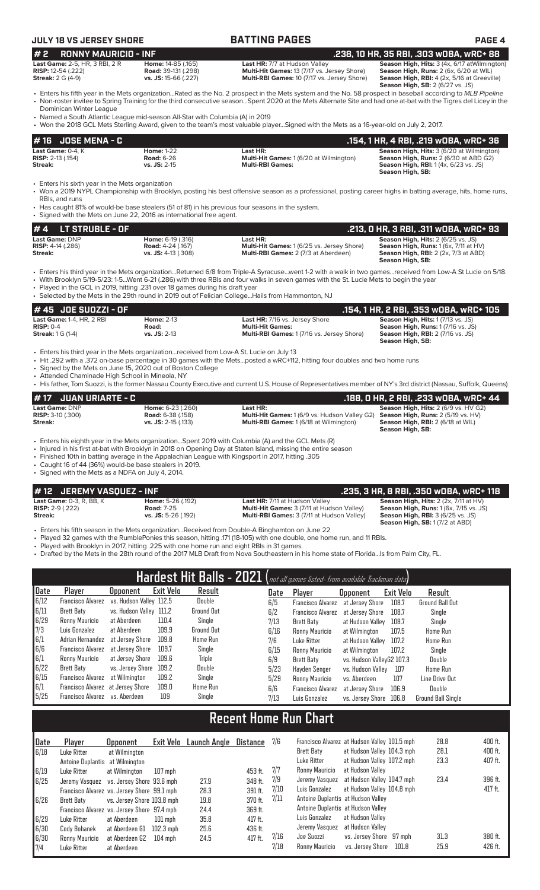# **JULY 18 VS JERSEY SHORE BATTING PAGES PAGE 4**

| OLI IO VJ OLIVJLI JIIOI                                                           |                                                                                                                                                         |                                                                                                                                                                                                                                                                                                                                                                                                         |                                                                                                                                                                                                 |
|-----------------------------------------------------------------------------------|---------------------------------------------------------------------------------------------------------------------------------------------------------|---------------------------------------------------------------------------------------------------------------------------------------------------------------------------------------------------------------------------------------------------------------------------------------------------------------------------------------------------------------------------------------------------------|-------------------------------------------------------------------------------------------------------------------------------------------------------------------------------------------------|
| #2<br><b>RONNY MAURICIO - INF</b>                                                 |                                                                                                                                                         |                                                                                                                                                                                                                                                                                                                                                                                                         | .238, 10 HR, 35 RBI, .303 w0BA, wRC+ 88                                                                                                                                                         |
| Last Game: 2-5, HR, 3 RBI, 2 R<br>RISP: 12-54 (.222)<br><b>Streak: 2 G (4-9)</b>  | Home: 14-85 (.165)<br>Road: 39-131 (.298)<br>vs. JS: 15-66 (.227)                                                                                       | Last HR: 7/7 at Hudson Valley<br>Multi-Hit Games: 13 (7/17 vs. Jersey Shore)<br>Multi-RBI Games: 10 (7/17 vs. Jersey Shore)                                                                                                                                                                                                                                                                             | Season High, Hits: 3 (4x, 6/17 at Wilmington)<br>Season High, Runs: 2 (6x, 6/20 at WIL)<br>Season High, RBI: 4 (2x, 5/16 at Greeville)<br>Season High, SB: 2 (6/27 vs. JS)                      |
| Dominican Winter League                                                           | • Named a South Atlantic League mid-season All-Star with Columbia (A) in 2019                                                                           | • Enters his fifth year in the Mets organizationRated as the No. 2 prospect in the Mets system and the No. 58 prospect in baseball according to MLB Pipeline<br>• Non-roster invitee to Spring Training for the third consecutive seasonSpent 2020 at the Mets Alternate Site and had one at-bat with the Tigres del Licey in the                                                                       |                                                                                                                                                                                                 |
|                                                                                   |                                                                                                                                                         | • Won the 2018 GCL Mets Sterling Award, given to the team's most valuable playerSigned with the Mets as a 16-year-old on July 2, 2017.                                                                                                                                                                                                                                                                  |                                                                                                                                                                                                 |
| <b>JOSE MENA - C</b><br># 16<br>Last Game: 0-4, K<br>RISP: 2-13 (.154)<br>Streak: | <b>Home: 1-22</b><br><b>Road: 6-26</b><br>vs. JS: 2-15                                                                                                  | Last HR:<br>Multi-Hit Games: 1 (6/20 at Wilmington)<br><b>Multi-RBI Games:</b>                                                                                                                                                                                                                                                                                                                          | .154, 1 HR, 4 RBI, .219 WOBA, WRC+ 36<br>Season High, Hits: 3 (6/20 at Wilmington)<br>Season High, Runs: 2 (6/30 at ABD G2)<br><b>Season High, RBI:</b> 1 (4x, 6/23 vs. JS)<br>Season High, SB: |
| • Enters his sixth year in the Mets organization<br>RBIs, and runs                | • Signed with the Mets on June 22, 2016 as international free agent.                                                                                    | • Won a 2019 NYPL Championship with Brooklyn, posting his best offensive season as a professional, posting career highs in batting average, hits, home runs,<br>• Has caught 81% of would-be base stealers (51 of 81) in his previous four seasons in the system.                                                                                                                                       |                                                                                                                                                                                                 |
| LT STRUBLE - OF<br>#4                                                             |                                                                                                                                                         |                                                                                                                                                                                                                                                                                                                                                                                                         | .213, 0 HR, 3 RBI, .311 WOBA, WRC+ 93                                                                                                                                                           |
| Last Game: DNP<br>RISP: 4-14 (.286)<br>Streak:                                    | Home: 6-19 (.316)<br><b>Road: 4-24 (.167)</b><br>vs. JS: 4-13 (.308)                                                                                    | Last HR:<br>Multi-Hit Games: 1 (6/25 vs. Jersey Shore)<br>Multi-RBI Games: 2 (7/3 at Aberdeen)                                                                                                                                                                                                                                                                                                          | Season High, Hits: 2 (6/25 vs. JS)<br>Season High, Runs: 1 (6x, 7/11 at HV)<br><b>Season High, RBI: 2 (2x, 7/3 at ABD)</b><br>Season High, SB:                                                  |
|                                                                                   | • Played in the GCL in 2019, hitting .231 over 18 games during his draft year                                                                           | • Enters his third year in the Mets organizationReturned 6/8 from Triple-A Syracusewent 1-2 with a walk in two gamesreceived from Low-A St Lucie on 5/18.<br>• With Brooklyn 5/19-5/23: 1-5Went 6-21 (.286) with three RBIs and four walks in seven games with the St. Lucie Mets to begin the year<br>• Selected by the Mets in the 29th round in 2019 out of Felician CollegeHails from Hammonton, NJ |                                                                                                                                                                                                 |
| #45 JOE SUOZZI - OF                                                               |                                                                                                                                                         |                                                                                                                                                                                                                                                                                                                                                                                                         | .154, 1 HR, 2 RBI, .353 WOBA, WRC+ 105                                                                                                                                                          |
| Last Game: 1-4, HR, 2 RBI<br><b>RISP: 0-4</b><br><b>Streak:</b> 1 G (1-4)         | <b>Home: 2-13</b><br>Road:<br>vs. JS: 2-13                                                                                                              | Last HR: 7/16 vs. Jersey Shore<br><b>Multi-Hit Games:</b><br>Multi-RBI Games: 1 (7/16 vs. Jersey Shore)                                                                                                                                                                                                                                                                                                 | Season High, Hits: 1 (7/13 vs. JS)<br>Season High, Runs: 1 (7/16 vs. JS)<br>Season High, RBI: 2 (7/16 vs. JS)<br>Season High, SB:                                                               |
| • Attended Chaminade High School in Mineola, NY                                   | • Enters his third year in the Mets organizationreceived from Low-A St. Lucie on July 13<br>• Signed by the Mets on June 15, 2020 out of Boston College | • Hit .292 with a .372 on-base percentage in 30 games with the Metsposted a wRC+112, hitting four doubles and two home runs<br>• His father, Tom Suozzi, is the former Nassau County Executive and current U.S. House of Representatives member of NY's 3rd district (Nassau, Suffolk, Queens)                                                                                                          |                                                                                                                                                                                                 |
| <b>JUAN URIARTE - C</b><br># 17                                                   |                                                                                                                                                         |                                                                                                                                                                                                                                                                                                                                                                                                         | .188, 0 HR, 2 RBI, .233 wOBA, wRC+ 44                                                                                                                                                           |
| Last Game: DNP<br>RISP: 3-10 (.300)<br>Streak:                                    | Home: 6-23 (.260)<br><b>Road: 6-38 (.158)</b><br>vs. JS: $2-15$ (.133)                                                                                  | Last HR:<br>Multi-Hit Games: 1 (6/9 vs. Hudson Valley G2)<br>Multi-RBI Games: 1 (6/18 at Wilmington)                                                                                                                                                                                                                                                                                                    | Season High, Hits: 2 (6/9 vs. HV G2)<br>Season High, Runs: 2 (5/19 vs. HV)<br>Season High, RBI: 2 (6/18 at WIL)<br>Season High, SB:                                                             |
|                                                                                   |                                                                                                                                                         | Enters his eighth year in the Mets organizationSpent 2019 with Columbia (A) and the GCL Mets (R)<br>• Injured in his first at-bat with Brooklyn in 2018 on Opening Day at Staten Island, missing the entire season<br>Finished 10th in betting overces in the Appelection League with Kingeport in 2017 bitting 20E                                                                                     |                                                                                                                                                                                                 |

• Finished 10th in batting average in the Appalachian League with Kingsport in 2017, hitting .305

• Caught 16 of 44 (36%) would-be base stealers in 2019.

• Signed with the Mets as a NDFA on July 4, 2014.

**# 12 JEREMY VASQUEZ - INF .235, 3 HR, 8 RBI, .350 wOBA, wRC+ 118 Last Game:** 0-3, R, BB, K **Home:** 5-26 (.192) **Last HR:** 7/11 at Hudson Valley **Season High, Hits:** 2 (2x, 7/11 at HV) **RISP:** 2-9 (.222) **Road:** 7-25 **Multi-Hit Games:** 3 (7/11 at Hudson Valley) **Season High, Runs:** 1 (6x, 7/15 vs. JS)

**Streak: vs. JS:** 5-26 (.192) **Multi-RBI Games:** 3 (7/11 at Hudson Valley) **Season High, RBI:** 3 (6/25 vs. JS) **Season High, Hits: 2 (2x, 7/11 at HV)**<br>**Season High, Runs: 1** (6x, 7/15 vs. JS)<br>**Season High, RBI: 3** (6/25 vs. JS)<br>**Season High, RBI: 3** (6/25 vs. JS)<br>**Season High, SB: 1** (7/2 at ABD)

• Enters his fifth season in the Mets organization...Received from Double-A Binghamton on June 22

• Played 32 games with the RumblePonies this season, hitting .171 (18-105) with one double, one home run, and 11 RBIs.

• Played with Brooklyn in 2017, hitting .225 with one home run and eight RBIs in 31 games.

• Drafted by the Mets in the 28th round of the 2017 MLB Draft from Nova Southeastern in his home state of Florida...Is from Palm City, FL.

|              |                                   |                         |           |               |      | Hardest Hit Balls - 2021 (not all games listed- from available Trackman data) |                           |           |                           |
|--------------|-----------------------------------|-------------------------|-----------|---------------|------|-------------------------------------------------------------------------------|---------------------------|-----------|---------------------------|
| Date         | Player                            | <b>Upponent</b>         | Exit Velo | Result        | Date | Player                                                                        | <b>Opponent</b>           | Exit Velo | Result                    |
| 6/12         | <b>Francisco Alvarez</b>          | vs. Hudson Valley 112.5 |           | Double        | 6/5  | Francisco Alvarez                                                             | at Jersev Shore           | 108.7     | Ground Ball Out           |
| 6/11         | Brett Baty                        | vs. Hudson Valley 111.2 |           | Ground Out    | 6/2  | <b>Francisco Alvarez</b>                                                      | at Jersev Shore           | 108.7     | Single                    |
| 6/29         | Ronny Mauricio                    | at Aberdeen             | 110.4     | Single        | 7/13 | Brett Baty                                                                    | at Hudson Valley          | 108.7     | Single                    |
| 7/3          | Luis Gonzalez                     | at Aberdeen             | 109.9     | Ground Out    | 6/16 | Ronny Mauricio                                                                | at Wilmington             | 107.5     | <b>Home Run</b>           |
| $\sqrt{6/1}$ | Adrian Hernandez                  | at Jersev Shore         | 109.8     | Home Run      | 7/6  | Luke Ritter                                                                   | at Hudson Valley          | 107.2     | <b>Home Run</b>           |
| 6/6          | <b>Francisco Alvarez</b>          | at Jersev Shore         | 109.7     | Single        | 6/15 | Ronny Mauricio                                                                | at Wilmington             | 107.2     | Single                    |
| 6/1          | Ronny Mauricio                    | at Jersev Shore         | 109.6     | <b>Triple</b> | 6/9  | Brett Baty                                                                    | vs. Hudson ValleyG2 107.3 |           | Double                    |
| 6/22         | Brett Baty                        | vs. Jersev Shore        | 109.2     | Double        | 5/23 | Havden Senger                                                                 | vs. Hudson Vallev         | 107       | <b>Home Run</b>           |
| 6/15         | Francisco Alvarez                 | at Wilmington           | 109.2     | Single        | 5/29 | Ronny Mauricio                                                                | vs. Aberdeen              | 107       | Line Drive Out            |
| $\vert 6/1$  | Francisco Alvarez at Jersey Shore |                         | 109.0     | Home Run      | 6/6  | Francisco Alvarez                                                             | at Jersey Shore           | 106.9     | Double                    |
| 5/25         | Francisco Alvarez vs. Aberdeen    |                         | 109       | Single        | 7/13 | Luis Gonzalez                                                                 | vs. Jersev Shore          | 106.8     | <b>Ground Ball Single</b> |

# **Recent Home Run Chart**

| Date | Player                                      | <b>Opponent</b>            | Exit Velo         | Launch Angle | Distance  | 7/6  | Francisco Alvarez at Hudson Valley 101.5 mph |                                    |       | 28.8 | 400 ft. |
|------|---------------------------------------------|----------------------------|-------------------|--------------|-----------|------|----------------------------------------------|------------------------------------|-------|------|---------|
| 6/18 | Luke Ritter                                 | at Wilmington              |                   |              |           |      | <b>Brett Baty</b>                            | at Hudson Valley 104.3 mph         |       | 28.1 | 400 ft. |
|      | Antoine Duplantis at Wilmington             |                            |                   |              |           |      | Luke Ritter                                  | at Hudson Valley 107.2 mph         |       | 23.3 | 407 ft. |
| 6/19 | Luke Ritter                                 | at Wilmington              | $107$ mph         |              | 453 ft.   | 7/7  | Ronny Mauricio                               | at Hudson Valley                   |       |      |         |
| 6/25 | Jeremy Vasquez vs. Jersey Shore 93.6 mph    |                            |                   | 27.9         | 348 ft.   | 7/9  | Jeremy Vasquez at Hudson Valley 104.7 mph    |                                    |       | 23.4 | 396 ft. |
|      | Francisco Alvarez vs. Jersey Shore 99.1 mph |                            |                   | 28.3         | 391 ft.   | 7/10 | Luis Gonzalez                                | at Hudson Valley 104.8 mph         |       |      | 417 ft. |
| 6/26 | Brett Baty                                  | vs. Jersey Shore 103.8 mph |                   | 19.8         | 370 ft.   | 7/11 | Antoine Duplantis at Hudson Valley           |                                    |       |      |         |
|      | Francisco Alvarez vs. Jersey Shore 97.4 mph |                            |                   | 24.4         | 369 ft.   |      |                                              | Antoine Duplantis at Hudson Valley |       |      |         |
| 6/29 | Luke Ritter                                 | at Aberdeen                | $101$ mph         | 35.8         | 417 ft.   |      | Luis Gonzalez                                | at Hudson Vallev                   |       |      |         |
| 6/30 | Cody Bohanek                                | at Aberdeen G1             | 102.3 mph         | 25.6         | 436 ft.   |      | Jeremy Vasquez                               | at Hudson Vallev                   |       |      |         |
| 6/30 | Ronny Mauricio                              | at Aberdeen G2             | $104 \text{ mph}$ | 24.5         | $417$ ft. | 7/16 | Joe Suozzi                                   | vs. Jersey Shore 97 mph            |       | 31.3 | 380 ft. |
| 7/4  | Luke Ritter                                 | at Aberdeen                |                   |              |           | 7/18 | Ronny Mauricio                               | vs. Jersey Shore                   | 101.8 | 25.9 | 426 ft. |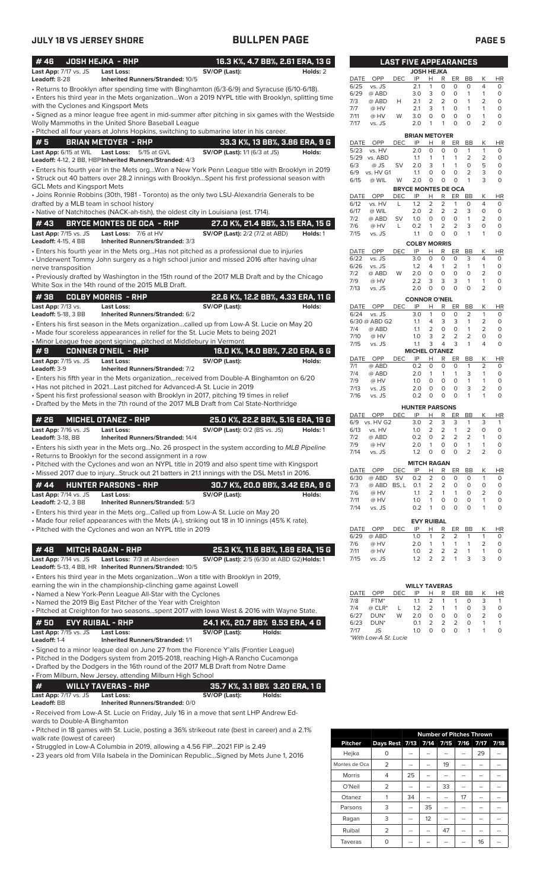| #46                                     | <b>JOSH HEJKA - RHP</b>                                                                                                                                  | 16.3 K%, 4.7 BB%, 2.61 ERA, 13 G                                       |          |
|-----------------------------------------|----------------------------------------------------------------------------------------------------------------------------------------------------------|------------------------------------------------------------------------|----------|
| Last App: 7/17 vs. JS<br>Leadoff: 8-28  | Last Loss:                                                                                                                                               | SV/OP (Last):                                                          | Holds: 2 |
|                                         | <b>Inherited Runners/Stranded: 10/5</b><br>• Returns to Brooklyn after spending time with Binghamton (6/3-6/9) and Syracuse (6/10-6/18).                 |                                                                        |          |
|                                         | . Enters his third year in the Mets organizationWon a 2019 NYPL title with Brooklyn, splitting time                                                      |                                                                        |          |
| with the Cyclones and Kingsport Mets    |                                                                                                                                                          |                                                                        |          |
|                                         | • Signed as a minor league free agent in mid-summer after pitching in six games with the Westside                                                        |                                                                        |          |
|                                         | Wolly Mammoths in the United Shore Baseball League<br>. Pitched all four years at Johns Hopkins, switching to submarine later in his career.             |                                                                        |          |
| #5                                      | <b>BRIAN METOYER - RHP</b>                                                                                                                               |                                                                        |          |
| Last App: 6/15 at WIL                   | Last Loss:<br>5/15 at GVL                                                                                                                                | 33.3 K%, 13 BB%, 3.86 ERA, 9 G<br><b>SV/OP (Last):</b> 1/1 (6/3 at JS) | Holds:   |
|                                         | Leadoff: 4-12, 2 BB, HBP Inherited Runners/Stranded: 4/3                                                                                                 |                                                                        |          |
|                                         | . Enters his fourth year in the Mets orgWon a New York Penn League title with Brooklyn in 2019                                                           |                                                                        |          |
|                                         | • Struck out 40 batters over 28.2 innings with BrooklynSpent his first professional season with                                                          |                                                                        |          |
| <b>GCL Mets and Kingsport Mets</b>      |                                                                                                                                                          |                                                                        |          |
| drafted by a MLB team in school history | • Joins Ronnie Robbins (30th, 1981 - Toronto) as the only two LSU-Alexandria Generals to be                                                              |                                                                        |          |
|                                         | • Native of Natchitoches (NACK-ah-tish), the oldest city in Louisiana (est. 1714).                                                                       |                                                                        |          |
| #43                                     | <b>BRYCE MONTES DE OCA - RHP</b>                                                                                                                         | 27.0 K%, 21.4 BB%, 3.15 ERA, 15 G                                      |          |
| Last App: 7/15 vs. JS                   | Last Loss: 7/6 at HV                                                                                                                                     | <b>SV/OP (Last):</b> 2/2 (7/2 at ABD)                                  | Holds: 1 |
| <b>Leadoff: 4-15, 4 BB</b>              | Inherited Runners/Stranded: 3/3                                                                                                                          |                                                                        |          |
|                                         | • Enters his fourth year in the Mets orgHas not pitched as a professional due to injuries                                                                |                                                                        |          |
|                                         | • Underwent Tommy John surgery as a high school junior and missed 2016 after having ulnar                                                                |                                                                        |          |
| nerve transposition                     | • Previously drafted by Washington in the 15th round of the 2017 MLB Draft and by the Chicago                                                            |                                                                        |          |
|                                         | White Sox in the 14th round of the 2015 MLB Draft.                                                                                                       |                                                                        |          |
| #38                                     | <b>COLBY MORRIS - RHP</b>                                                                                                                                | 22.6 K%, 12.2 BB%, 4.33 ERA, 11 G                                      |          |
| Last App: $7/13$ vs.                    | Last Loss:                                                                                                                                               | SV/OP (Last):                                                          | Holds:   |
| <b>Leadoff: 5-18, 3 BB</b>              | Inherited Runners/Stranded: 6/2                                                                                                                          |                                                                        |          |
|                                         | • Enters his first season in the Mets organizationcalled up from Low-A St. Lucie on May 20                                                               |                                                                        |          |
|                                         | • Made four scoreless appearances in relief for the St. Lucie Mets to being 2021                                                                         |                                                                        |          |
| #9                                      | • Minor League free agent signingpitched at Middlebury in Vermont<br><b>CONNER O'NEIL - RHP</b>                                                          | 18.0 K%, 14.0 BB%, 7.20 ERA, 6 G                                       |          |
| Last App: 7/15 vs. JS                   | Last Loss:                                                                                                                                               | SV/OP (Last):                                                          | Holds:   |
| Leadoff: 3-9                            | <b>Inherited Runners/Stranded: 7/2</b>                                                                                                                   |                                                                        |          |
|                                         | • Enters his fifth year in the Mets organizationreceived from Double-A Binghamton on 6/20                                                                |                                                                        |          |
|                                         | • Has not pitched in 2021Last pitched for Advanced-A St. Lucie in 2019                                                                                   |                                                                        |          |
|                                         | · Spent his first professional season with Brooklyn in 2017, pitching 19 times in relief                                                                 |                                                                        |          |
|                                         | • Drafted by the Mets in the 7th round of the 2017 MLB Draft from Cal State-Northridge                                                                   |                                                                        |          |
| #26                                     | <b>MICHEL OTANEZ - RHP</b>                                                                                                                               | 25.0 K%, 22.2 BB%, 5.16 ERA, 19 G                                      |          |
| Last App: 7/16 vs. JS                   | <b>Last Loss:</b>                                                                                                                                        | <b>SV/OP (Last):</b> 0/2 (BS vs. JS)                                   | Holds: 1 |
| <b>Leadoff: 3-18, BB</b>                | <b>Inherited Runners/Stranded: 14/4</b>                                                                                                                  |                                                                        |          |
|                                         | • Enters his sixth year in the Mets orgNo. 26 prospect in the system according to MLB Pipeline                                                           |                                                                        |          |
|                                         | • Returns to Brooklyn for the second assignment in a row<br>• Pitched with the Cyclones and won an NYPL title in 2019 and also spent time with Kingsport |                                                                        |          |
|                                         | . Missed 2017 due to injuryStruck out 21 batters in 21.1 innings with the DSL Mets1 in 2016.                                                             |                                                                        |          |
| # 44                                    | <b>HUNTER PARSONS - RHP</b>                                                                                                                              | 30.7 K%, 20.0 BB%, 3.42 ERA, 9 G                                       |          |
| Last App: 7/14 vs. JS                   | <b>Last Loss:</b>                                                                                                                                        | SV/OP (Last):                                                          | Holds:   |
| <b>Leadoff: 2-12, 3 BB</b>              | Inherited Runners/Stranded: 5/3                                                                                                                          |                                                                        |          |
|                                         | • Enters his third year in the Mets orgCalled up from Low-A St. Lucie on May 20                                                                          |                                                                        |          |
|                                         | • Made four relief appearances with the Mets (A-), striking out 18 in 10 innings (45% K rate).                                                           |                                                                        |          |
|                                         | • Pitched with the Cyclones and won an NYPL title in 2019                                                                                                |                                                                        |          |
| #48                                     | <b>MITCH RAGAN - RHP</b>                                                                                                                                 | 25.3 K%, 11.6 BB%, 1.69 ERA, 15 G                                      |          |
| Last App: 7/14 vs. JS                   | Last Loss: 7/3 at Aberdeen                                                                                                                               | SV/OP (Last): 2/5 (6/30 at ABD G2) Holds: 1                            |          |
|                                         | Leadoff: 5-13, 4 BB, HR Inherited Runners/Stranded: 10/5                                                                                                 |                                                                        |          |
|                                         | • Enters his third year in the Mets organizationWon a title with Brooklyn in 2019,                                                                       |                                                                        |          |
|                                         | earning the win in the championship-clinching game against Lowell                                                                                        |                                                                        |          |
|                                         | • Named a New York-Penn League All-Star with the Cyclones                                                                                                |                                                                        |          |
|                                         | • Named the 2019 Big East Pitcher of the Year with Creighton<br>. Pitched at Creighton for two seasonsspent 2017 with lowa West & 2016 with Wayne State. |                                                                        |          |
|                                         |                                                                                                                                                          |                                                                        |          |
| #50<br>Last App: 7/15 vs. JS            | <b>EVY RUIBAL - RHP</b><br><b>Last Loss:</b>                                                                                                             | 24.1 K%, 20.7 BB% 9.53 ERA, 4 G<br>SV/OP (Last):<br>Holds:             |          |
| Leadoff: 1-4                            | <b>Inherited Runners/Stranded: 1/1</b>                                                                                                                   |                                                                        |          |
|                                         | • Signed to a minor league deal on June 27 from the Florence Y'alls (Frontier League)                                                                    |                                                                        |          |
|                                         | • Pitched in the Dodgers system from 2015-2018, reaching High-A Rancho Cucamonga                                                                         |                                                                        |          |
|                                         | • Drafted by the Dodgers in the 16th round of the 2017 MLB Draft from Notre Dame                                                                         |                                                                        |          |
|                                         | • From Milburn, New Jersey, attending Milburn High School                                                                                                |                                                                        |          |
| #                                       | <b>WILLY TAVERAS - RHP</b>                                                                                                                               | 35.7 K%, 3.1 BB% 3.20 ERA, 1 G                                         |          |
| Last App: 7/17 vs. JS<br>Leadoff: BB    | <b>Last Loss:</b><br>Inherited Runners/Stranded: 0/0                                                                                                     | SV/OP (Last):<br>Holds:                                                |          |
|                                         | • Received from Low-A St. Lucie on Friday, July 16 in a move that sent LHP Andrew Ed-                                                                    |                                                                        |          |
| wards to Double-A Binghamton            |                                                                                                                                                          |                                                                        |          |
|                                         | . Pitched in 18 games with St Lucie nosting a 36% strikeout rate (hest in career) and a 2.1%                                                             |                                                                        |          |

| $# 50$ EVY RUIBAL - RHP . |                                        | 24.1 K%. 20.7 BB% 9.53 ERA. 4 G |        |
|---------------------------|----------------------------------------|---------------------------------|--------|
| Last App: $7/15$ vs. JS   | Last Loss:                             | SV/OP (Last):                   | Holds: |
| <b>Leadoff:</b> 1-4       | <b>Inherited Runners/Stranded: 1/1</b> |                                 |        |

• Pitched in 18 games with St. Lucie, posting a 36% strikeout rate (best in career) and a 2.1% walk rate (lowest of career)

• Struggled in Low-A Columbia in 2019, allowing a 4.56 FIP...2021 FIP is 2.49

• 23 years old from Villa Isabela in the Dominican Republic...Signed by Mets June 1, 2016

|                |                | <b>Number of Pitches Thrown</b> |    |             |      |      |      |  |  |
|----------------|----------------|---------------------------------|----|-------------|------|------|------|--|--|
| <b>Pitcher</b> | Days Rest 7/13 |                                 |    | $7/14$ 7/15 | 7/16 | 7/17 | 7/18 |  |  |
| Hejka          | ი              |                                 |    |             |      | 29   |      |  |  |
| Montes de Oca  | 2              | --                              |    | 19          |      |      |      |  |  |
| <b>Morris</b>  | 4              | 25                              |    |             |      |      |      |  |  |
| O'Neil         | 2              | --                              |    | 33          | --   |      |      |  |  |
| Otanez         |                | 34                              |    |             | 17   |      |      |  |  |
| Parsons        | 3              |                                 | 35 |             |      |      |      |  |  |
| Ragan          | 3              | --                              | 12 |             |      |      |      |  |  |
| Ruibal         | 2              | --                              |    | 47          |      |      |      |  |  |
| Taveras        |                |                                 |    |             |      | 16   |      |  |  |

|             |               |            | <b>JOSH HEJKA</b>          |          |                |                |                |                |           |
|-------------|---------------|------------|----------------------------|----------|----------------|----------------|----------------|----------------|-----------|
| DATE        | OPP           | DEC        | IP                         | н        | R              | ER             | BB             | Κ              | ΗR        |
| 6/25        | vs. JS        |            | 2.1                        | 1        | 0              | 0              | O              | 4              | 0         |
| 6/29        | @ ABD         |            | 3.0                        | 3        | 0              | 0              | 1              | 1              | 0         |
| 7/3         | @ ABD         | н          | 2.1                        | 2        | 2              | 0              | 1              | 2              | 0         |
| 7/7         | @ HV          |            | 2.1                        | 3        | 1              | 0              | 1              | 1              | 0         |
| 7/11        | @ HV          | W          | 3.0                        | 0        | 0              | 0              | 0              | 1              | 0         |
| 7/17        | vs. JS        |            | 2.0                        | 1        | 1              | 0              | O              | $\overline{2}$ | 0         |
|             |               |            |                            |          |                |                |                |                |           |
|             |               |            | <b>BRIAN METOYER</b>       |          |                |                |                |                |           |
| DATE        | <b>OPP</b>    | DEC        | IP                         | Н        | R              | ER             | BB             | Κ              | HR        |
| 5/23        | vs. HV        |            | 2.0                        | 0        | 0              | 0              | 1              | 1              | 0         |
| 5/29        | vs. ABD       |            | 1.1                        | 1        | 1              | 1              | $\overline{2}$ | 2              | 0         |
| 6/3         | @ JS          | SV         | 2.0                        | 3        | 1              | 1              | 0              | 5              | O         |
| 6/9         | vs. HV G1     |            | 1.1                        | 0        | 0              | 0              | $\overline{2}$ | 3              | 0         |
| 6/15        | @ WIL         | W          | 2.0                        | 0        | 0              | 0              | 1              | 3              | 0         |
|             |               |            | <b>BRYCE MONTES DE OCA</b> |          |                |                |                |                |           |
| DATE        | OPP           | DEC        | IP                         | Н        | R              | ER             | <b>BB</b>      | Κ              | HR        |
| 6/12        | vs. HV        | L          | 1.2                        | 2        | 2              | 1              | 0              | 4              | 0         |
| 6/17        | @ WIL         |            | 2.0                        | 2        | 2              | 2              | 3              | 0              | 0         |
| 7/2         | @ ABD         | SV         | 1.0                        | 0        | 0              | 0              | 1              | $\overline{2}$ | 0         |
| 7/6         | @ HV          | L          | 0.2                        | 1        | 2              | 2              | 3              | 0              | 0         |
| 7/15        | vs. JS        |            | 1.1                        | 0        | 0              | 0              | 1              | 1              | 0         |
|             |               |            | <b>COLBY MORRIS</b>        |          |                |                |                |                |           |
| DATE        | OPP           | <b>DEC</b> | IP                         | Н        | R              | ER             | BB             | Κ              | <b>HR</b> |
| 6/22        | vs. JS        |            | 3.0                        | 0        | 0              | 0              | 3              | 4              | 0         |
| 6/26        | vs. JS        |            | 1.2                        | 4        | 1              | 2              | 1              | 1              | 0         |
| 7/2         | @ ABD         | W          | 2.0                        | O        | 0              | 0              | 0              | 2              | 0         |
| 7/9         | @ HV          |            | 2.2                        | 3        | 3              | 3              | 1              | 1              | 0         |
| 7/13        | vs. JS        |            | 2.0                        | 0        | 0              | 0              | 0              | 2              | 0         |
|             |               |            |                            |          |                |                |                |                |           |
|             |               |            | <b>CONNOR O'NEIL</b>       |          |                |                |                |                |           |
| DATE        | OPP           | DEC        | IP                         | Н        | R              | ER             | BB             | Κ              | ΗR        |
| 6/24        | vs. JS        |            | 3.0                        | 1        | 0              | 0              | 2              | 1              | 0         |
|             | 6/30 @ ABD G2 |            | 1.1                        | 4        | 3              | 3              | 1              | $\overline{2}$ | 0         |
| 7/4         | @ ABD         |            | 1.1                        | 2        | 0              | 0              | 1              | 2              | 0         |
| 7/10        | @ HV          |            | 1.0                        | 3        | $\overline{2}$ | $\overline{2}$ | $\overline{2}$ | 0              | 0         |
| 7/15        | vs. JS        |            | 1.1                        | 3        | 4              | 3              | 1              | 4              | O         |
|             |               |            | <b>MICHEL OTANEZ</b>       |          |                |                |                |                |           |
| DATE        | OPP           | <b>DEC</b> | IP                         | Н        | R              | ER             | BВ             | Κ              | ΗR        |
| 7/1         | @ ABD         |            | 0.2                        | 0        | 0              | 0              | 1              | $\overline{2}$ | 0         |
| 7/4         | @ ABD         |            | 2.0                        | 1        | 1              | 1              | 3              | 1              | 0         |
| 7/9         | @ HV          |            | 1.0                        | O        | 0              | 0              | 1              | 1              | 0         |
| 7/13        | vs. JS        |            | 2.0                        | 0        | 0              | 0              | 3              | 2              | 0         |
| 7/16        | vs. JS        |            | 0.2                        | 0        | 0              | 0              | 1              | 1              | 0         |
|             |               |            | <b>HUNTER PARSONS</b>      |          |                |                |                |                |           |
| DATE        | OPP           | DEC        | -IP                        | н        | R              | ER             | <b>BB</b>      | Κ              | HR        |
| 6/9         | vs. HV G2     |            | 3.0                        | 2        | 3              | 3              | 1              | 3              | 1         |
| 6/13        | vs. HV        |            | 1.0                        | 2        | 2              | 1              | 2              | 0              | 0         |
| 7/2         | @ ABD         |            | 0.2                        | 0        | 2              | 2              | 2              | 1              | 0         |
| 7/9         | @ HV          |            | 2.0                        | 1        | 0              | 0              | 1              | 1              | 0         |
| 7/14        | vs. JS        |            | 1.2                        | 0        | 0              | O              | $\overline{2}$ | $\overline{2}$ | 0         |
|             |               |            |                            |          |                |                |                |                |           |
|             |               |            | <b>MITCH RAGAN</b>         |          |                |                |                |                |           |
| DATE        | OPP           | DEC        | IP                         | <u>н</u> | R              | <u>ER</u>      | BB             | Κ              | ΗR        |
| 6/30        | @ ABD         | SV         | 0.2                        | 2        | 0              | 0              | 0              | 1              | 0         |
| 7/3         | @ ABD         | BS, L      | 0.1                        | 2        | 2              | 0              | 0              | 0              | 0         |
| 7/6         | @ HV          |            | 1.1                        | 2        | 1              | 1              | 0              | 2              | 0         |
| 7/11        | @ HV          |            | 1.0                        | 1        | 0              | 0              | 0              | 1              | 0         |
| 7/14        | vs. JS        |            | 0.2                        | 1        | 0              | 0              | 0              | 1              | 0         |
|             |               |            |                            |          |                |                |                |                |           |
|             |               |            | <b>EVY RUIBAL</b>          |          |                |                | <b>BB</b>      |                |           |
| DATE        | OPP           | DEC        | IP                         | Н<br>1   | R              | ER             |                | Κ<br>1         | <u>HR</u> |
| 6/29        | @ ABD<br>@ HV |            | 1.0                        | 1        | 2<br>1         | 2<br>1         | 1<br>1         |                | 0         |
| 7/6<br>7/11 | @ HV          |            | 2.0<br>1.0                 | 2        | 2              | 2              | 1              | 2<br>1         | 0<br>0    |
| 7/15        | vs. JS        |            | 1.2                        | 2        | 2              | 1              | 3              | 3              | 0         |
|             |               |            |                            |          |                |                |                |                |           |

**LAST FIVE APPEARANCES**

|      |                       |      | <b>WILLY TAVERAS</b> |               |                |    |    |               |    |
|------|-----------------------|------|----------------------|---------------|----------------|----|----|---------------|----|
| DATE | OPP                   | DEC. | IP                   | н             | R              | ER | ВB | к             | HR |
| 7/8  | FTM*                  |      | 1.1                  | 2             | 1              | 1  | O  | 3             |    |
| 7/4  | $@$ CLR <sup>*</sup>  |      | 1.2                  | 2             | 1              | 1  | O  | 3             | O  |
| 6/27 | $DUN*$                | W    | 2.0                  | 0             | Ο              | O  | Ο  | $\mathcal{P}$ | O  |
| 6/23 | $DUN^*$               |      | O 1                  | $\mathcal{P}$ | $\overline{2}$ | 2  | O  |               |    |
| 7/17 | JS.                   |      | 1 <sub>O</sub>       | O             | O              | O  |    |               |    |
|      | *With Low-A St. Lucie |      |                      |               |                |    |    |               |    |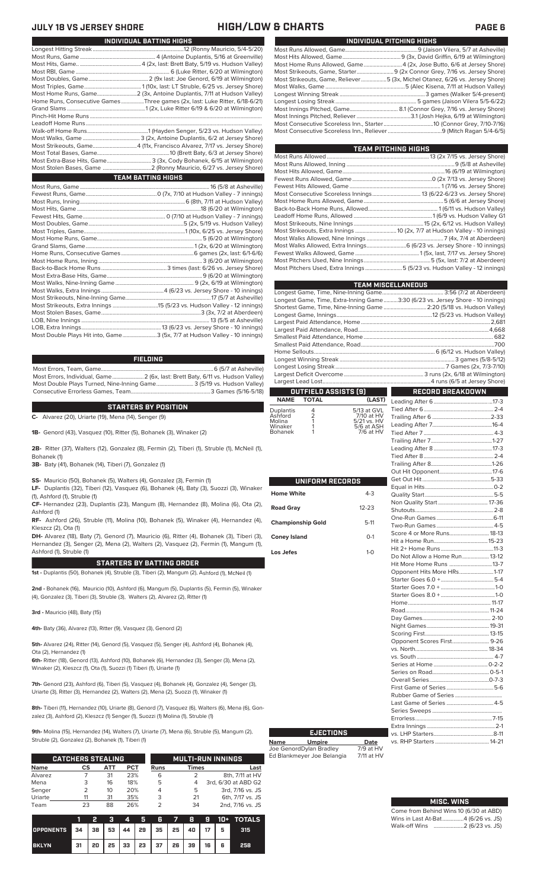### **JULY 18 VS JERSEY SHORE HIGH/LOW & CHARTS PAGE 6**

| INDIVIDUAL PITCHING HIGHS                                                   |
|-----------------------------------------------------------------------------|
|                                                                             |
|                                                                             |
| Most Home Runs Allowed, Game4 (2x, Jose Butto, 6/6 at Jersey Shore)         |
|                                                                             |
| Most Strikeouts, Game, Reliever5 (3x, Michel Otanez, 6/26 vs. Jersey Shore) |
|                                                                             |
|                                                                             |
|                                                                             |
| Most Innings Pitched, Game 8.1 (Connor Grey, 7/16 vs. Jersey Shore)         |
|                                                                             |
|                                                                             |
|                                                                             |
|                                                                             |

| TEAM PITCHING HIGHS                                                       |  |
|---------------------------------------------------------------------------|--|
|                                                                           |  |
|                                                                           |  |
|                                                                           |  |
|                                                                           |  |
|                                                                           |  |
|                                                                           |  |
|                                                                           |  |
|                                                                           |  |
|                                                                           |  |
|                                                                           |  |
|                                                                           |  |
|                                                                           |  |
| Most Walks Allowed, Extra Innings 6 (6/23 vs. Jersey Shore - 10 innings)  |  |
|                                                                           |  |
|                                                                           |  |
| Most Pitchers Used, Extra Innings 5 (5/23 vs. Hudson Valley - 12 innings) |  |
|                                                                           |  |

|                                                             |                        |                                                                     | <b>TEAM MISCELLANEOUS</b><br>Longest Game, Time, Extra-Inning Game3:30 (6/23 vs. Jersey Shore - 10 innings)<br>Shortest Game, Time, Nine-Inning Game  2:20 (5/18 vs. Hudson Valley) |  |
|-------------------------------------------------------------|------------------------|---------------------------------------------------------------------|-------------------------------------------------------------------------------------------------------------------------------------------------------------------------------------|--|
|                                                             |                        |                                                                     | OUTFIELD ASSISTS [9] RECORD BREAKDOWN                                                                                                                                               |  |
| <b>NAME</b>                                                 | <b>TOTAL</b>           | (LAST)                                                              |                                                                                                                                                                                     |  |
| Duplantis<br>Ashford<br>Molina<br>Winaker<br><b>Bohanek</b> | 4<br>2<br>7<br>1<br>1  | 5/13 at GVL<br>7/10 at HV<br>5/21 vs. HV<br>5/6 at ASH<br>7/6 at HV |                                                                                                                                                                                     |  |
|                                                             | <b>UNIFORM RECORDS</b> |                                                                     |                                                                                                                                                                                     |  |
| <b>Home White</b>                                           |                        | $4 - 3$                                                             |                                                                                                                                                                                     |  |
| <b>Road Gray</b>                                            |                        | $12 - 23$                                                           | Shutouts 2.8                                                                                                                                                                        |  |

| <b>UNIFORM RECORDS</b> |           |                               |  |
|------------------------|-----------|-------------------------------|--|
| Vhite                  | $4 - 3$   |                               |  |
|                        |           |                               |  |
| ray                    | $12 - 23$ |                               |  |
|                        |           |                               |  |
| onship Gold            | $5-11$    |                               |  |
| sland                  | $O-1$     | Score 4 or More Runs 18-13    |  |
|                        |           |                               |  |
| эs                     | $1 - 0$   |                               |  |
|                        |           | Do Not Allow a Home Run 13-12 |  |
|                        |           |                               |  |
|                        |           | Opponent Hits More HRs1-17    |  |
|                        |           |                               |  |
|                        |           |                               |  |
|                        |           |                               |  |
|                        |           |                               |  |
|                        |           |                               |  |
|                        |           |                               |  |
|                        |           |                               |  |
|                        |           |                               |  |
|                        |           |                               |  |
|                        |           |                               |  |
|                        |           |                               |  |
|                        |           |                               |  |
|                        |           |                               |  |
|                        |           |                               |  |
|                        |           | First Game of Series5-6       |  |
|                        |           |                               |  |
|                        |           | Last Game of Series  4-5      |  |
|                        |           |                               |  |
|                        |           |                               |  |
|                        |           |                               |  |
| EJECTIONS              |           |                               |  |

| ;neville)<br>Valley)<br>Valley) |                      | Largest Deficit Overcome    |                           |  |  |  |  |  |  |
|---------------------------------|----------------------|-----------------------------|---------------------------|--|--|--|--|--|--|
| 16-5/18)                        |                      | <b>OUTFIELD ASSISTS [9]</b> |                           |  |  |  |  |  |  |
|                                 |                      | NAME TOTAL                  | (LAST)                    |  |  |  |  |  |  |
|                                 | Duplantis<br>Ashford |                             | 5/13 at GVL<br>7/10 at HV |  |  |  |  |  |  |

| <b>Home White</b>        | $4 - 3$   |
|--------------------------|-----------|
| <b>Road Gray</b>         | $12 - 23$ |
| <b>Championship Gold</b> | $5-11$    |
| <b>Coney Island</b>      | $O-1$     |
| Los Jefes                | $1-0$     |
|                          |           |
|                          |           |
|                          |           |
|                          |           |
|                          |           |
|                          |           |
|                          |           |
|                          |           |
|                          |           |

# **INDIVIDUAL BATTING HIGHS**

| Home Runs, Consecutive Games Three games (2x, last: Luke Ritter, 6/18-6/21) |
|-----------------------------------------------------------------------------|
|                                                                             |
|                                                                             |
|                                                                             |
|                                                                             |
|                                                                             |
|                                                                             |
|                                                                             |
| Most Extra-Base Hits, Game 3 (3x, Cody Bohanek, 6/15 at Wilmington)         |
|                                                                             |
| <b>TEAM BATTING HIGHS</b>                                                   |
|                                                                             |
|                                                                             |
|                                                                             |
|                                                                             |
|                                                                             |
|                                                                             |
|                                                                             |
|                                                                             |
|                                                                             |
|                                                                             |
|                                                                             |
|                                                                             |
|                                                                             |
|                                                                             |
|                                                                             |
|                                                                             |
|                                                                             |
|                                                                             |
|                                                                             |
|                                                                             |
| Most Double Plays Hit into, Game3 (5x, 7/7 at Hudson Valley - 10 innings)   |

### **FIELDING**

Most Errors, Team, Game...............................................................................6 (5/7 at Asheville) Most Errors, Individual, Game......................2 (6x, last: Brett Baty, 6/11 vs. Hudson Valley) Most Double Plays Turned, Nine-Inning Game.......................... 3 (5/19 vs. Hudson Valley) Consecutive Errorless Games, Team.

**C-** Alvarez (20), Uriarte (19), Mena (14), Senger (9) **STARTERS BY POSITION**

**1B-** Genord (43), Vasquez (10), Ritter (5), Bohanek (3), Winaker (2)

**2B-** Ritter (37), Walters (12), Gonzalez (8), Fermin (2), Tiberi (1), Struble (1), McNeil (1), Bohanek (1)

**3B-** Baty (41), Bohanek (14), Tiberi (7), Gonzalez (1)

**SS-** Mauricio (50), Bohanek (5), Walters (4), Gonzalez (3), Fermin (1)

**LF-** Duplantis (32), Tiberi (12), Vasquez (6), Bohanek (4), Baty (3), Suozzi (3), Winaker (1), Ashford (1), Struble (1)

**CF-** Hernandez (23), Duplantis (23), Mangum (8), Hernandez (8), Molina (6), Ota (2), Ashford (1)

**RF-** Ashford (26), Struble (11), Molina (10), Bohanek (5), Winaker (4), Hernandez (4), Kleszcz (2), Ota (1)

**DH-** Alvarez (18), Baty (7), Genord (7), Mauricio (6), Ritter (4), Bohanek (3), Tiberi (3), Hernandez (3), Senger (2), Mena (2), Walters (2), Vasquez (2), Fermin (1), Mangum (1), Ashford (1), Struble (1)

### **STARTERS BY BATTING ORDER**

**1st -** Duplantis (50), Bohanek (4), Struble (3), Tiberi (2), Mangum (2), Ashford (1), McNeil (1)

**2nd -** Bohanek (16), Mauricio (10), Ashford (6), Mangum (5), Duplantis (5), Fermin (5), Winaker (4), Gonzalez (3), Tiberi (3), Struble (3), Walters (2), Alvarez (2), Ritter (1)

**3rd -** Mauricio (48), Baty (15)

**4th-** Baty (36), Alvarez (13), Ritter (9), Vasquez (3), Genord (2)

**5th-** Alvarez (24), Ritter (14), Genord (5), Vasquez (5), Senger (4), Ashford (4), Bohanek (4), Ota (2), Hernandez (1)

**6th-** Ritter (18), Genord (13), Ashford (10), Bohanek (6), Hernandez (3), Senger (3), Mena (2), Winaker (2), Kleszcz (1), Ota (1), Suozzi (1) Tiberi (1), Uriarte (1)

**7th-** Genord (23), Ashford (6), Tiberi (5), Vasquez (4), Bohanek (4), Gonzalez (4), Senger (3), Uriarte (3), Ritter (3), Hernandez (2), Walters (2), Mena (2), Suozzi (1), Winaker (1)

**8th-** Tiberi (11), Hernandez (10), Uriarte (8), Genord (7), Vasquez (6), Walters (6), Mena (6), Gonzalez (3), Ashford (2), Kleszcz (1) Senger (1), Suozzi (1) Molina (1), Struble (1)

**9th-** Molina (15), Hernandez (14), Walters (7), Uriarte (7), Mena (6), Struble (5), Mangum (2), Struble (2), Gonzalez (2), Bohanek (1), Tiberi (1)

|             | <b>CATCHERS STEALING</b> |     |            |             | <b>MULTI-RUN INNINGS</b> |                     |  |  |
|-------------|--------------------------|-----|------------|-------------|--------------------------|---------------------|--|--|
| <b>Name</b> | СS                       | АТТ | <b>PCT</b> | <b>Runs</b> | <b>Times</b>             | Last                |  |  |
| Alvarez     |                          | 31  | 23%        | 6           |                          | 8th, 7/11 at HV     |  |  |
| Mena        | 3                        | 16  | 18%        | 5           | 4                        | 3rd, 6/30 at ABD G2 |  |  |
| Senger      | $\mathcal{P}$            | 10  | 20%        | 4           | 5                        | 3rd, 7/16 vs. JS    |  |  |
| Uriarte     |                          | 31  | 35%        | 3           | 21                       | 6th, 7/17 vs. JS    |  |  |
| Team        | 23                       | 88  | 26%        |             | 34                       | 2nd, 7/16 vs. JS    |  |  |

|                  |      | 2  | - 3 | VI. |    | 56                                    | 78 |    |    |   | $-9$ 10+ TOTALS |
|------------------|------|----|-----|-----|----|---------------------------------------|----|----|----|---|-----------------|
| <b>OPPONENTS</b> | 34 I |    |     |     |    | 38   53   44   29   35   25   40   17 |    |    |    | 5 | 315             |
| <b>BKLYN</b>     | 31   | 20 | 25  | 33  | 23 | 37 26                                 |    | 39 | 16 | 6 | 258             |

| <b>MISC. WINS</b> |  |
|-------------------|--|

Come from Behind Wins 10 (6/30 at ABD)<br>Wins in Last At-Bat................4 (6/26 vs. JS) Wins in Last At-Bat....... Walk-off Wins .....................2 (6/23 vs. JS)

vs. RHP Starters ......................................14-21

 $.1 - 0$ <br>1-0

 $.5-6$ 

**Name Umpire Date** Joe GenordDylan Bradley 7/9 at HV Ed Blankmeyer Joe Belangia 7/11 at HV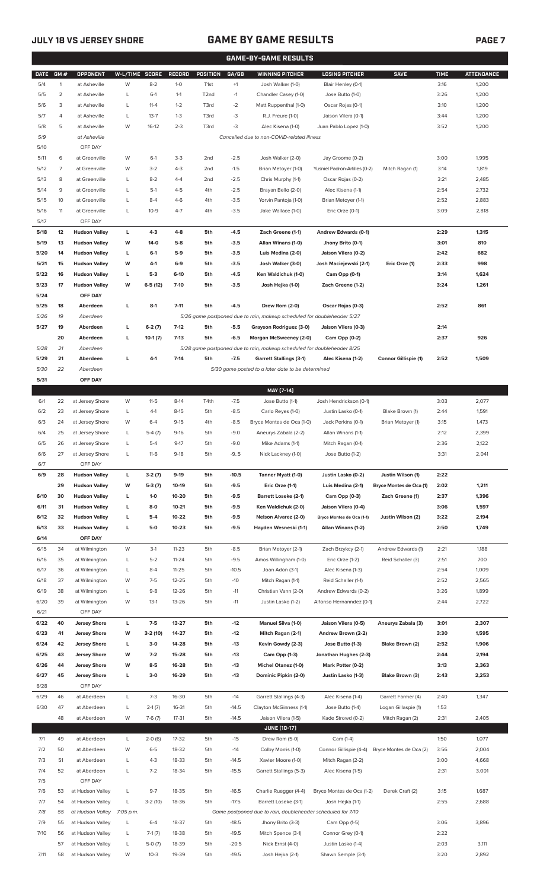## **JULY 18 VS JERSEY SHORE GAME BY GAME RESULTS**

|--|--|

|             | <b>GAME-BY-GAME RESULTS</b> |                      |                |           |               |                  |         |                                                                         |                                    |                         |             |                   |
|-------------|-----------------------------|----------------------|----------------|-----------|---------------|------------------|---------|-------------------------------------------------------------------------|------------------------------------|-------------------------|-------------|-------------------|
| <b>DATE</b> | GM#                         | <b>OPPONENT</b>      | W-L/TIME SCORE |           | <b>RECORD</b> | POSITION         | GA/GB   | <b>WINNING PITCHER</b>                                                  | <b>LOSING PITCHER</b>              | <b>SAVE</b>             | <b>TIME</b> | <b>ATTENDANCE</b> |
| 5/4         | $\mathbf{1}$                | at Asheville         | W              | $8 - 2$   | $1 - 0$       | T <sub>1st</sub> | $+1$    | Josh Walker (1-0)                                                       | Blair Henley (0-1)                 |                         | 3:16        | 1,200             |
| 5/5         | 2                           | at Asheville         | L              | $6-1$     | $1 - 1$       | T <sub>2nd</sub> | $-1$    | Chandler Casey (1-0)                                                    | Jose Butto (1-0)                   |                         | 3:26        | 1,200             |
| 5/6         | 3                           | at Asheville         | L              | $11 - 4$  | $1 - 2$       | T3rd             | $-2$    | Matt Ruppenthal (1-0)                                                   | Oscar Rojas (0-1)                  |                         | 3:10        | 1,200             |
| 5/7         | 4                           | at Asheville         | L              | $13 - 7$  | $1 - 3$       | T3rd             | -3      | R.J. Freure (1-0)                                                       | Jaison Vilera (0-1)                |                         | 3:44        | 1,200             |
| 5/8         | 5                           | at Asheville         | W              | $16-12$   | $2 - 3$       | T3rd             | -3      | Alec Kisena (1-0)                                                       | Juan Pablo Lopez (1-0)             |                         | 3:52        | 1,200             |
| 5/9         |                             | at Asheville         |                |           |               |                  |         | Cancelled due to non-COVID-related illness                              |                                    |                         |             |                   |
| 5/10        |                             | OFF DAY              |                |           |               |                  |         |                                                                         |                                    |                         |             |                   |
| 5/11        | 6                           | at Greenville        | W              | $6-1$     | $3-3$         | 2 <sub>nd</sub>  | $-2.5$  | Josh Walker (2-0)                                                       | Jay Groome (0-2)                   |                         | 3:00        | 1,995             |
| 5/12        | 7                           | at Greenville        | W              | $3 - 2$   | $4 - 3$       | 2 <sub>nd</sub>  | $-1.5$  | Brian Metoyer (1-0)                                                     | Yusniel Padron-Artilles (0-2)      | Mitch Ragan (1)         | 3:14        | 1,819             |
| 5/13        | 8                           | at Greenville        | L              | $8 - 2$   | $4 - 4$       | 2 <sub>nd</sub>  | $-2.5$  | Chris Murphy (1-1)                                                      | Oscar Rojas (0-2)                  |                         | 3:21        | 2,485             |
| 5/14        | 9                           | at Greenville        | L              | $5-1$     | $4 - 5$       | 4th              | $-2.5$  | Brayan Bello (2-0)                                                      | Alec Kisena (1-1)                  |                         | 2:54        | 2,732             |
| 5/15        | 10                          | at Greenville        | L              | $8 - 4$   | $4-6$         | 4th              | $-3.5$  | Yorvin Pantoja (1-0)                                                    | Brian Metoyer (1-1)                |                         | 2:52        | 2,883             |
| 5/16        | 11                          | at Greenville        | L              | $10-9$    | $4 - 7$       | 4th              | $-3.5$  | Jake Wallace (1-0)                                                      | Eric Orze (0-1)                    |                         | 3:09        | 2,818             |
| 5/17        |                             | OFF DAY              |                |           |               |                  |         |                                                                         |                                    |                         |             |                   |
| 5/18        | 12                          | <b>Hudson Valley</b> | L              | $4-3$     | $4 - 8$       | 5th              | $-4.5$  | Zach Greene (1-1)                                                       | Andrew Edwards (0-1)               |                         | 2:29        | 1,315             |
| 5/19        | 13                          | <b>Hudson Valley</b> | W              | $14-0$    | $5-8$         | 5th              | $-3.5$  | Allan Winans (1-0)                                                      | Jhony Brito (0-1)                  |                         | 3:01        | 810               |
| 5/20        | 14                          | <b>Hudson Valley</b> | г              | $6-1$     | $5-9$         | 5th              | $-3.5$  | Luis Medina (2-0)                                                       | Jaison Vilera (0-2)                |                         | 2:42        | 682               |
| 5/21        | 15                          | <b>Hudson Valley</b> | W              | 4-1       | $6-9$         | 5th              | $-3.5$  | Josh Walker (3-0)                                                       | Josh Maciejewski (2-1)             | Eric Orze (1)           | 2:33        | 998               |
| 5/22        | 16                          | <b>Hudson Valley</b> | г              | $5-3$     | $6-10$        | 5th              | $-4.5$  | Ken Waldichuk (1-0)                                                     |                                    |                         | 3:14        | 1,624             |
| 5/23        | 17                          | <b>Hudson Valley</b> | W              | $6-5(12)$ | $7-10$        | 5th              | $-3.5$  | Josh Hejka (1-0)                                                        | Cam Opp (0-1)<br>Zach Greene (1-2) |                         | 3:24        | 1,261             |
| 5/24        |                             | OFF DAY              |                |           |               |                  |         |                                                                         |                                    |                         |             |                   |
| 5/25        |                             |                      | г              |           | $7 - 11$      | 5th              |         | Drew Rom (2-0)                                                          |                                    |                         |             | 861               |
|             | 18<br>19                    | Aberdeen             |                | $8-1$     |               |                  | $-4.5$  |                                                                         | Oscar Rojas (0-3)                  |                         | 2:52        |                   |
| 5/26        |                             | Aberdeen             |                |           |               |                  |         | 5/26 game postponed due to rain, makeup scheduled for doubleheader 5/27 |                                    |                         |             |                   |
| 5/27        | 19                          | Aberdeen             | г              | $6-2(7)$  | $7-12$        | 5th              | $-5.5$  | Grayson Rodriguez (3-0)                                                 | Jaison Vilera (0-3)                |                         | 2:14        |                   |
|             | 20                          | Aberdeen             | г              | $10-1(7)$ | $7-13$        | 5th              | $-6.5$  | Morgan McSweeney (2-0)                                                  | Cam Opp (0-2)                      |                         | 2:37        | 926               |
| 5/28        | 21                          | Aberdeen             |                |           |               |                  |         | 5/28 game postponed due to rain, makeup scheduled for doubleheader 8/25 |                                    |                         |             |                   |
| 5/29        | 21                          | Aberdeen             | г              | $4 - 1$   | $7-14$        | 5th              | $-7.5$  | <b>Garrett Stallings (3-1)</b>                                          | Alec Kisena (1-2)                  | Connor Gillispie (1)    | 2:52        | 1,509             |
| 5/30        | 22                          | Aberdeen             |                |           |               |                  |         | 5/30 game posted to a later date to be determined                       |                                    |                         |             |                   |
| 5/31        |                             | OFF DAY              |                |           |               |                  |         |                                                                         |                                    |                         |             |                   |
|             |                             |                      |                |           |               |                  |         | MAY [7-14]                                                              |                                    |                         |             |                   |
| 6/1         | 22                          | at Jersey Shore      | W              | $11 - 5$  | $8-14$        | T4th             | $-7.5$  | Jose Butto (1-1)                                                        | Josh Hendrickson (0-1)             |                         | 3:03        | 2,077             |
| 6/2         | 23                          | at Jersey Shore      | L              | $4-1$     | $8 - 15$      | 5th              | $-8.5$  | Carlo Reyes (1-0)                                                       | Justin Lasko (0-1)                 | Blake Brown (1)         | 2:44        | 1,591             |
| 6/3         | 24                          | at Jersey Shore      | W              | $6 - 4$   | $9 - 15$      | 4th              | $-8.5$  | Bryce Montes de Oca (1-0)                                               | Jack Perkins (0-1)                 | Brian Metoyer (1)       | 3:15        | 1,473             |
| 6/4         | 25                          | at Jersey Shore      | L              | $5-4(7)$  | $9 - 16$      | 5th              | $-9.0$  | Aneurys Zabala (2-2)                                                    | Allan Winans (1-1)                 |                         | 2:12        | 2,399             |
| 6/5         | 26                          | at Jersey Shore      | L              | $5 - 4$   | $9-17$        | 5th              | $-9.0$  | Mike Adams (1-1)                                                        | Mitch Ragan (0-1)                  |                         | 2:36        | 2,122             |
| 6/6         | 27                          | at Jersey Shore      | L              | $11-6$    | $9-18$        | 5th              | $-9.5$  | Nick Lackney (1-0)                                                      | Jose Butto (1-2)                   |                         | 3:31        | 2,041             |
| 6/7         |                             | OFF DAY              |                |           |               |                  |         |                                                                         |                                    |                         |             |                   |
| 6/9         | 28                          | <b>Hudson Valley</b> | L              | $3-2(7)$  | $9-19$        | 5th              | $-10.5$ | Tanner Myatt (1-0)                                                      | Justin Lasko (0-2)                 | Justin Wilson (1)       | 2:22        |                   |
|             | 29                          | <b>Hudson Valley</b> | W              | $5-3(7)$  | 10-19         | 5th              | $-9.5$  | Eric Orze (1-1)                                                         | Luis Medina (2-1)                  | Bryce Montes de Oca (1) | 2:02        | 1,211             |
| 6/10        | 30                          | <b>Hudson Valley</b> | L              | $1 - 0$   | 10-20         | 5th              | $-9.5$  | <b>Barrett Loseke (2-1)</b>                                             | Cam Opp (0-3)                      | Zach Greene (1)         | 2:37        | 1,396             |
| 6/11        | 31                          | <b>Hudson Valley</b> | L              | $8-0$     | $10 - 21$     | 5th              | $-9.5$  | Ken Waldichuk (2-0)                                                     | Jaison Vilera (0-4)                |                         | 3:06        | 1,597             |
| 6/12        | 32                          | <b>Hudson Valley</b> | г              | $5-4$     | 10-22         | 5th              | $-9.5$  | Nelson Alvarez (2-0)                                                    | Bryce Montes de Oca (1-1)          | Justin Wilson (2)       | 3:22        | 2,194             |
| 6/13        | 33                          | <b>Hudson Valley</b> | L              | $5-0$     | $10 - 23$     | 5th              | $-9.5$  | Hayden Wesneski (1-1)                                                   | Allan Winans (1-2)                 |                         | 2:50        | 1,749             |
| 6/14        |                             | OFF DAY              |                |           |               |                  |         |                                                                         |                                    |                         |             |                   |
| 6/15        | 34                          | at Wilmington        | W              | $3-1$     | $11 - 23$     | 5th              | $-8.5$  | Brian Metoyer (2-1)                                                     | Zach Brzykcy (2-1)                 | Andrew Edwards (1)      | 2:21        | 1,188             |
| 6/16        | 35                          | at Wilmington        | L              | $5 - 2$   | $11 - 24$     | 5th              | $-9.5$  | Amos Willingham (1-0)                                                   | Eric Orze (1-2)                    | Reid Schaller (3)       | 2:51        | 700               |
| 6/17        | 36                          | at Wilmington        | L              | $8 - 4$   | $11 - 25$     | 5th              | $-10.5$ | Joan Adon (3-1)                                                         | Alec Kisena (1-3)                  |                         | 2:54        | 1,009             |
| 6/18        | 37                          | at Wilmington        | W              | $7 - 5$   | $12 - 25$     | 5th              | $-10$   | Mitch Ragan (1-1)                                                       | Reid Schaller (1-1)                |                         | 2:52        | 2,565             |
| 6/19        | 38                          | at Wilmington        | L              | $9 - 8$   | 12-26         | 5th              | $-11$   | Christian Vann (2-0)                                                    | Andrew Edwards (0-2)               |                         | 3:26        | 1,899             |
| 6/20        | 39                          | at Wilmington        | W              | $13-1$    | 13-26         | 5th              | $-11$   | Justin Lasko (1-2)                                                      | Alfonso Hernanndez (0-1)           |                         | 2:44        | 2,722             |
| 6/21        |                             | OFF DAY              |                |           |               |                  |         |                                                                         |                                    |                         |             |                   |
| 6/22        | 40                          | <b>Jersey Shore</b>  | L              | $7 - 5$   | 13-27         | 5th              | $-12$   | <b>Manuel Silva (1-0)</b>                                               | Jaison Vilera (0-5)                | Aneurys Zabala (3)      | 3:01        | 2,307             |
| 6/23        | 41                          | <b>Jersey Shore</b>  | W              | $3-2(10)$ | 14-27         | 5th              | $-12$   | Mitch Ragan (2-1)                                                       | Andrew Brown (2-2)                 |                         | 3:30        | 1,595             |
| 6/24        | 42                          | <b>Jersey Shore</b>  | L              | $3-0$     | 14-28         | 5th              | -13     | Kevin Gowdy (2-3)                                                       | Jose Butto (1-3)                   | Blake Brown (2)         | 2:52        | 1,906             |
| 6/25        | 43                          | <b>Jersey Shore</b>  | W              | $7-2$     | 15-28         | 5th              | -13     | Cam Opp (1-3)                                                           | Jonathan Hughes (2-3)              |                         | 2:44        | 2,194             |
| 6/26        | 44                          | <b>Jersey Shore</b>  | W              | $8-5$     | 16-28         | 5th              | $-13$   | <b>Michel Otanez (1-0)</b>                                              | Mark Potter (0-2)                  |                         | 3:13        | 2,363             |
| 6/27        | 45                          | <b>Jersey Shore</b>  | г              | $3-0$     | 16-29         | 5th              | $-13$   | Dominic Pipkin (2-0)                                                    | Justin Lasko (1-3)                 | Blake Brown (3)         | 2:43        | 2,253             |
| 6/28        |                             | OFF DAY              |                |           |               |                  |         |                                                                         |                                    |                         |             |                   |
| 6/29        | 46                          | at Aberdeen          | L              | $7 - 3$   | 16-30         | 5th              | $-14$   | Garrett Stallings (4-3)                                                 | Alec Kisena (1-4)                  | Garrett Farmer (4)      | 2:40        | 1,347             |
| 6/30        | 47                          | at Aberdeen          | L              | $2-1(7)$  | 16-31         | 5th              | $-14.5$ | Clayton McGinness (1-1)                                                 | Jose Butto (1-4)                   | Logan Gillaspie (1)     | 1:53        |                   |
|             | 48                          | at Aberdeen          | W              | $7-6(7)$  | $17 - 31$     | 5th              | $-14.5$ | Jaison Vilera (1-5)                                                     | Kade Strowd (0-2)                  | Mitch Ragan (2)         | 2:31        | 2,405             |
|             |                             |                      |                |           |               |                  |         | <b>JUNE [10-17]</b>                                                     |                                    |                         |             |                   |
| 7/1         | 49                          | at Aberdeen          | L              | $2-0(6)$  | 17-32         | 5th              | $-15$   | Drew Rom (5-0)                                                          | Cam (1-4)                          |                         | 1:50        | 1,077             |
| 7/2         | 50                          | at Aberdeen          | W              | $6 - 5$   | 18-32         | 5th              | $-14$   | Colby Morris (1-0)                                                      | Connor Gillispie (4-4)             | Bryce Montes de Oca (2) | 3:56        | 2,004             |
| 7/3         | 51                          | at Aberdeen          | L              | $4 - 3$   | 18-33         | 5th              | $-14.5$ | Xavier Moore (1-0)                                                      | Mitch Ragan (2-2)                  |                         | 3:00        | 4,668             |
| 7/4         | 52                          | at Aberdeen          | L              | $7 - 2$   | 18-34         | 5th              | $-15.5$ | Garrett Stallings (5-3)                                                 | Alec Kisena (1-5)                  |                         | 2:31        | 3,001             |
| 7/5         |                             | OFF DAY              |                |           |               |                  |         |                                                                         |                                    |                         |             |                   |
| 7/6         | 53                          | at Hudson Valley     | L              | $9 - 7$   | 18-35         | 5th              | $-16.5$ | Charlie Ruegger (4-4)                                                   | Bryce Montes de Oca (1-2)          | Derek Craft (2)         | 3:15        | 1,687             |
| 7/7         | 54                          | at Hudson Valley     | L              | $3-2(10)$ | 18-36         | 5th              | $-17.5$ | Barrett Loseke (3-1)                                                    | Josh Hejka (1-1)                   |                         | 2:55        | 2,688             |
| 7/8         | 55                          | at Hudson Valley     | 7:05 p.m.      |           |               |                  |         | Game postponed due to rain, doubleheader scheduled for 7/10             |                                    |                         |             |                   |
| 7/9         | 55                          | at Hudson Valley     | L              | $6 - 4$   | 18-37         | 5th              | $-18.5$ | Jhony Brito (3-3)                                                       | Cam Opp (1-5)                      |                         | 3:06        | 3,896             |
| 7/10        | 56                          | at Hudson Valley     | L              | $7-1(7)$  | 18-38         | 5th              | $-19.5$ | Mitch Spence (3-1)                                                      | Connor Grey (0-1)                  |                         | 2:22        |                   |
|             | 57                          | at Hudson Valley     | L              | $5-0(7)$  | 18-39         | 5th              | $-20.5$ | Nick Ernst (4-0)                                                        | Justin Lasko (1-4)                 |                         | 2:03        | 3,111             |
| 7/11        | 58                          | at Hudson Valley     | W              | $10-3$    | 19-39         | 5th              | $-19.5$ | Josh Hejka (2-1)                                                        | Shawn Semple (3-1)                 |                         | 3:20        | 2,892             |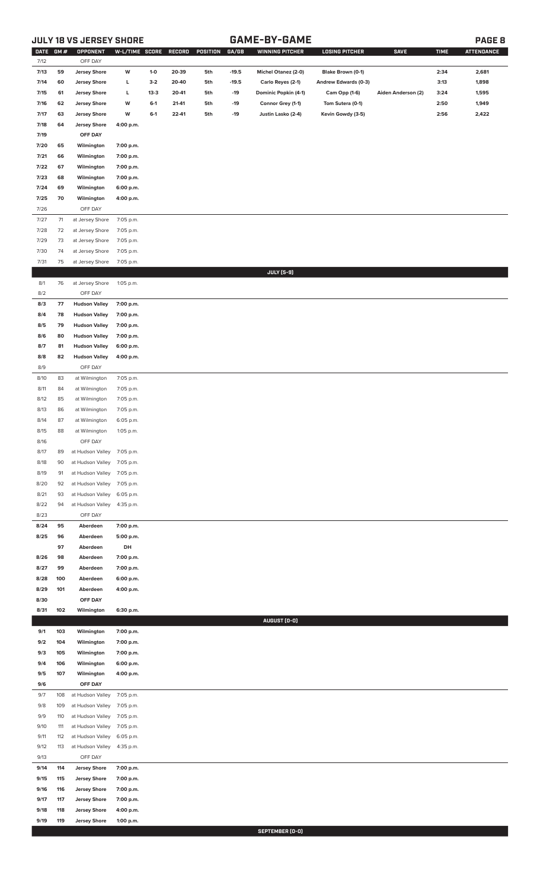# **JULY 18 VS JERSEY SHORE GAME-BY-GAME PAGE 8**

| ٩ |
|---|
|---|

| DATE GM#<br>7/12 |            | OPPONENT<br>OFF DAY                        | W-L/TIME SCORE         |          | RECORD | POSITION | GA/GB   | <b>WINNING PITCHER</b> | <b>LOSING PITCHER</b> | <b>SAVE</b>        | <b>TIME</b> | <b>ATTENDANCE</b> |
|------------------|------------|--------------------------------------------|------------------------|----------|--------|----------|---------|------------------------|-----------------------|--------------------|-------------|-------------------|
|                  | 59         |                                            |                        | $1-0$    | 20-39  | 5th      | $-19.5$ | Michel Otanez (2-0)    | Blake Brown (0-1)     |                    | 2:34        | 2,681             |
| 7/13<br>7/14     | 60         | <b>Jersey Shore</b><br><b>Jersey Shore</b> | W                      | $3-2$    | 20-40  | 5th      | $-19.5$ |                        | Andrew Edwards (0-3)  |                    | 3:13        | 1,898             |
|                  |            |                                            | L                      | $13 - 3$ |        |          | $-19$   | Carlo Reyes (2-1)      |                       |                    |             | 1,595             |
| 7/15             | 61         | <b>Jersey Shore</b>                        | г<br>W                 | $6-1$    | 20-41  | 5th      | $-19$   | Dominic Popkin (4-1)   | <b>Cam Opp (1-6)</b>  | Aiden Anderson (2) | 3:24        | 1,949             |
| 7/16             | 62         | <b>Jersey Shore</b><br><b>Jersey Shore</b> | W                      | $6-1$    | 21-41  | 5th      | $-19$   | Connor Grey (1-1)      | Tom Sutera (0-1)      |                    | 2:50        |                   |
| 7/17             | 63         |                                            |                        |          | 22-41  | 5th      |         | Justin Lasko (2-4)     | Kevin Gowdy (3-5)     |                    | 2:56        | 2,422             |
| 7/18             | 64         | <b>Jersey Shore</b>                        | 4:00 p.m.              |          |        |          |         |                        |                       |                    |             |                   |
| 7/19             |            | OFF DAY                                    |                        |          |        |          |         |                        |                       |                    |             |                   |
| 7/20             | 65         | Wilmington                                 | 7:00 p.m.              |          |        |          |         |                        |                       |                    |             |                   |
| 7/21             | 66         | Wilmington                                 | 7:00 p.m.              |          |        |          |         |                        |                       |                    |             |                   |
| 7/22             | 67         | Wilmington                                 | 7:00 p.m.              |          |        |          |         |                        |                       |                    |             |                   |
| 7/23             | 68         | Wilmington                                 | 7:00 p.m.              |          |        |          |         |                        |                       |                    |             |                   |
| 7/24             | 69         | Wilmington                                 | 6:00 p.m.              |          |        |          |         |                        |                       |                    |             |                   |
| 7/25             | 70         | Wilmington                                 | 4:00 p.m.              |          |        |          |         |                        |                       |                    |             |                   |
| 7/26             |            | OFF DAY                                    |                        |          |        |          |         |                        |                       |                    |             |                   |
| 7/27             | 71         | at Jersey Shore                            | 7:05 p.m.              |          |        |          |         |                        |                       |                    |             |                   |
| 7/28             | 72         | at Jersey Shore                            | 7:05 p.m.              |          |        |          |         |                        |                       |                    |             |                   |
| 7/29             | 73         | at Jersey Shore                            | 7:05 p.m.              |          |        |          |         |                        |                       |                    |             |                   |
| 7/30             | 74         | at Jersey Shore                            | 7:05 p.m.              |          |        |          |         |                        |                       |                    |             |                   |
| 7/31             | 75         | at Jersey Shore                            | 7:05 p.m.              |          |        |          |         |                        |                       |                    |             |                   |
|                  |            |                                            |                        |          |        |          |         | <b>JULY (5-9)</b>      |                       |                    |             |                   |
| 8/1              | 76         | at Jersey Shore                            | 1:05 p.m.              |          |        |          |         |                        |                       |                    |             |                   |
| 8/2              |            | OFF DAY                                    |                        |          |        |          |         |                        |                       |                    |             |                   |
| 8/3              | 77         | <b>Hudson Valley</b>                       | 7:00 p.m.              |          |        |          |         |                        |                       |                    |             |                   |
| 8/4              | 78         | <b>Hudson Valley</b>                       | 7:00 p.m.              |          |        |          |         |                        |                       |                    |             |                   |
| 8/5              | 79         | <b>Hudson Valley</b>                       | 7:00 p.m.              |          |        |          |         |                        |                       |                    |             |                   |
| 8/6              | 80         | <b>Hudson Valley</b>                       | 7:00 p.m.              |          |        |          |         |                        |                       |                    |             |                   |
| 8/7              | 81         | <b>Hudson Valley</b>                       | 6:00 p.m.              |          |        |          |         |                        |                       |                    |             |                   |
| 8/8<br>8/9       | 82         | <b>Hudson Valley</b><br>OFF DAY            | 4:00 p.m.              |          |        |          |         |                        |                       |                    |             |                   |
|                  | 83         |                                            |                        |          |        |          |         |                        |                       |                    |             |                   |
| 8/10<br>8/11     | 84         | at Wilmington<br>at Wilmington             | 7:05 p.m.<br>7:05 p.m. |          |        |          |         |                        |                       |                    |             |                   |
| 8/12             | 85         | at Wilmington                              | 7:05 p.m.              |          |        |          |         |                        |                       |                    |             |                   |
| 8/13             | 86         | at Wilmington                              | 7:05 p.m.              |          |        |          |         |                        |                       |                    |             |                   |
| 8/14             | 87         | at Wilmington                              | 6:05 p.m.              |          |        |          |         |                        |                       |                    |             |                   |
| 8/15             | 88         | at Wilmington                              | 1:05 p.m.              |          |        |          |         |                        |                       |                    |             |                   |
| 8/16             |            | OFF DAY                                    |                        |          |        |          |         |                        |                       |                    |             |                   |
| 8/17             | 89         | at Hudson Valley 7:05 p.m.                 |                        |          |        |          |         |                        |                       |                    |             |                   |
| 8/18             | 90         | at Hudson Valley                           | 7:05 p.m.              |          |        |          |         |                        |                       |                    |             |                   |
| 8/19             | 91         | at Hudson Valley                           | 7:05 p.m.              |          |        |          |         |                        |                       |                    |             |                   |
| 8/20             | 92         | at Hudson Valley                           | 7:05 p.m.              |          |        |          |         |                        |                       |                    |             |                   |
| 8/21             | 93         | at Hudson Valley                           | 6:05 p.m.              |          |        |          |         |                        |                       |                    |             |                   |
| 8/22             | 94         | at Hudson Valley                           | 4:35 p.m.              |          |        |          |         |                        |                       |                    |             |                   |
| 8/23             |            | OFF DAY                                    |                        |          |        |          |         |                        |                       |                    |             |                   |
| 8/24             | 95         | Aberdeen                                   | 7:00 p.m.              |          |        |          |         |                        |                       |                    |             |                   |
| 8/25             | 96         | Aberdeen                                   | 5:00 p.m.              |          |        |          |         |                        |                       |                    |             |                   |
|                  | 97         | Aberdeen                                   | DH                     |          |        |          |         |                        |                       |                    |             |                   |
| 8/26             | 98         | Aberdeen                                   | 7:00 p.m.              |          |        |          |         |                        |                       |                    |             |                   |
| 8/27             | 99         | Aberdeen                                   | 7:00 p.m.              |          |        |          |         |                        |                       |                    |             |                   |
| 8/28             | 100        | Aberdeen                                   | 6:00 p.m.              |          |        |          |         |                        |                       |                    |             |                   |
| 8/29             | 101        | Aberdeen                                   | 4:00 p.m.              |          |        |          |         |                        |                       |                    |             |                   |
| 8/30             |            | OFF DAY                                    |                        |          |        |          |         |                        |                       |                    |             |                   |
| 8/31             | 102        | Wilmington                                 | 6:30 p.m.              |          |        |          |         |                        |                       |                    |             |                   |
|                  |            |                                            |                        |          |        |          |         | AUGUST (0-0)           |                       |                    |             |                   |
| 9/1              | 103        | Wilmington                                 | 7:00 p.m.              |          |        |          |         |                        |                       |                    |             |                   |
| 9/2              | 104        | Wilmington                                 | 7:00 p.m.              |          |        |          |         |                        |                       |                    |             |                   |
| 9/3              | 105        | Wilmington                                 | 7:00 p.m.              |          |        |          |         |                        |                       |                    |             |                   |
| 9/4              | 106        | Wilmington                                 | 6:00 p.m.              |          |        |          |         |                        |                       |                    |             |                   |
| 9/5              | 107        | Wilmington                                 | 4:00 p.m.              |          |        |          |         |                        |                       |                    |             |                   |
| 9/6              |            | OFF DAY                                    |                        |          |        |          |         |                        |                       |                    |             |                   |
| 9/7              | 108        | at Hudson Valley                           | 7:05 p.m.              |          |        |          |         |                        |                       |                    |             |                   |
| 9/8              | 109        | at Hudson Valley                           | 7:05 p.m.              |          |        |          |         |                        |                       |                    |             |                   |
| 9/9<br>9/10      | 110<br>111 | at Hudson Valley<br>at Hudson Valley       | 7:05 p.m.<br>7:05 p.m. |          |        |          |         |                        |                       |                    |             |                   |
| 9/11             | 112        | at Hudson Valley                           | 6:05 p.m.              |          |        |          |         |                        |                       |                    |             |                   |
| 9/12             | 113        | at Hudson Valley                           | 4:35 p.m.              |          |        |          |         |                        |                       |                    |             |                   |
| 9/13             |            | OFF DAY                                    |                        |          |        |          |         |                        |                       |                    |             |                   |
| 9/14             | 114        | <b>Jersey Shore</b>                        | 7:00 p.m.              |          |        |          |         |                        |                       |                    |             |                   |
| 9/15             | 115        | <b>Jersey Shore</b>                        | 7:00 p.m.              |          |        |          |         |                        |                       |                    |             |                   |
| 9/16             | 116        | <b>Jersey Shore</b>                        | 7:00 p.m.              |          |        |          |         |                        |                       |                    |             |                   |
| 9/17             | 117        | <b>Jersey Shore</b>                        | 7:00 p.m.              |          |        |          |         |                        |                       |                    |             |                   |
| 9/18             | 118        | <b>Jersey Shore</b>                        | 4:00 p.m.              |          |        |          |         |                        |                       |                    |             |                   |
| 9/19             | 119        | <b>Jersey Shore</b>                        | 1:00 p.m.              |          |        |          |         |                        |                       |                    |             |                   |
|                  |            |                                            |                        |          |        |          |         | SEPTEMBER (0-0)        |                       |                    |             |                   |